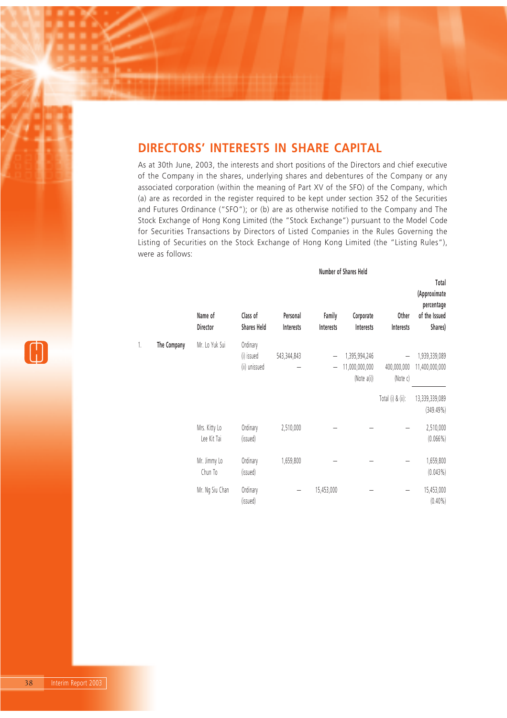# **DIRECTORS' INTERESTS IN SHARE CAPITAL**

As at 30th June, 2003, the interests and short positions of the Directors and chief executive of the Company in the shares, underlying shares and debentures of the Company or any associated corporation (within the meaning of Part XV of the SFO) of the Company, which (a) are as recorded in the register required to be kept under section 352 of the Securities and Futures Ordinance ("SFO"); or (b) are as otherwise notified to the Company and The Stock Exchange of Hong Kong Limited (the "Stock Exchange") pursuant to the Model Code for Securities Transactions by Directors of Listed Companies in the Rules Governing the Listing of Securities on the Stock Exchange of Hong Kong Limited (the "Listing Rules"), were as follows:

**Number of Shares Held**

|    |             |                              |                                         |                       |                          | ווטווואטו טו טווערנט                           |                         |                                                                 |
|----|-------------|------------------------------|-----------------------------------------|-----------------------|--------------------------|------------------------------------------------|-------------------------|-----------------------------------------------------------------|
|    |             | Name of<br>Director          | Class of<br><b>Shares Held</b>          | Personal<br>Interests | Family<br>Interests      | Corporate<br>Interests                         | Other<br>Interests      | Total<br>(Approximate<br>percentage<br>of the Issued<br>Shares) |
| 1. | The Company | Mr. Lo Yuk Sui               | Ordinary<br>(i) issued<br>(ii) unissued | 543,344,843           | $\overline{\phantom{0}}$ | 1,395,994,246<br>11,000,000,000<br>(Note a(i)) | 400,000,000<br>(Note c) | 1,939,339,089<br>11,400,000,000                                 |
|    |             |                              |                                         |                       |                          |                                                | Total (i) & (ii):       | 13,339,339,089<br>(349.49%)                                     |
|    |             | Mrs. Kitty Lo<br>Lee Kit Tai | Ordinary<br>(issued)                    | 2,510,000             |                          |                                                |                         | 2,510,000<br>$(0.066\%)$                                        |
|    |             | Mr. Jimmy Lo<br>Chun To      | Ordinary<br>(issued)                    | 1,659,800             |                          |                                                |                         | 1,659,800<br>$(0.043\%)$                                        |
|    |             | Mr. Ng Siu Chan              | Ordinary<br>(issued)                    | -                     | 15,453,000               |                                                |                         | 15,453,000<br>$(0.40\%)$                                        |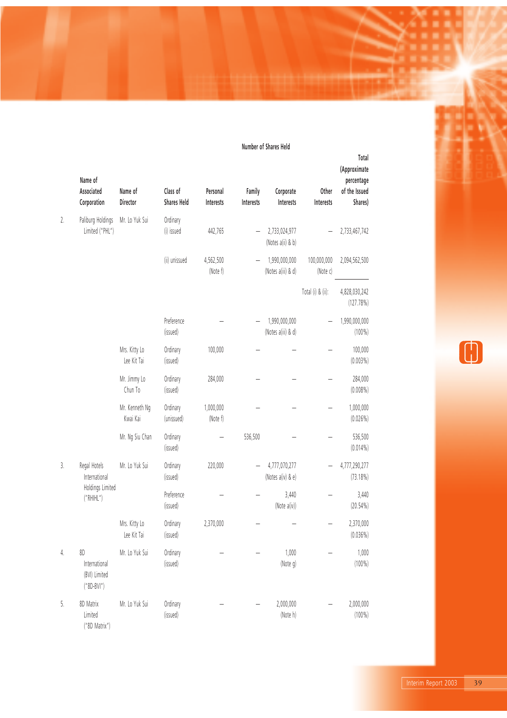|    | Name of<br>Associated<br>Corporation                 | Name of<br>Director          | Class of<br><b>Shares Held</b> | Personal<br>Interests | Family<br>Interests | Corporate<br>Interests              | Other<br>Interests      | Total<br>(Approximate<br>percentage<br>of the Issued<br>Shares) |
|----|------------------------------------------------------|------------------------------|--------------------------------|-----------------------|---------------------|-------------------------------------|-------------------------|-----------------------------------------------------------------|
| 2. | Paliburg Holdings<br>Limited ("PHL")                 | Mr. Lo Yuk Sui               | Ordinary<br>(i) issued         | 442,765               |                     | 2,733,024,977<br>(Notes a(ii) & b)  |                         | 2,733,467,742                                                   |
|    |                                                      |                              | (ii) unissued                  | 4,562,500<br>(Note f) |                     | 1,990,000,000<br>(Notes a(iii) & d) | 100,000,000<br>(Note c) | 2,094,562,500                                                   |
|    |                                                      |                              |                                |                       |                     |                                     | Total (i) & (ii):       | 4,828,030,242<br>(127.78%)                                      |
|    |                                                      |                              | Preference<br>(issued)         |                       |                     | 1,990,000,000<br>(Notes a(iii) & d) |                         | 1,990,000,000<br>$(100\%)$                                      |
|    |                                                      | Mrs. Kitty Lo<br>Lee Kit Tai | Ordinary<br>(issued)           | 100,000               |                     |                                     |                         | 100,000<br>$(0.003\%)$                                          |
|    |                                                      | Mr. Jimmy Lo<br>Chun To      | Ordinary<br>(issued)           | 284,000               |                     |                                     |                         | 284,000<br>$(0.008\%)$                                          |
|    |                                                      | Mr. Kenneth Ng<br>Kwai Kai   | Ordinary<br>(unissued)         | 1,000,000<br>(Note f) |                     |                                     |                         | 1,000,000<br>$(0.026\%)$                                        |
|    |                                                      | Mr. Ng Siu Chan              | Ordinary<br>(issued)           |                       | 536,500             |                                     |                         | 536,500<br>$(0.014\%)$                                          |
| 3. | Regal Hotels<br>International                        | Mr. Lo Yuk Sui               | Ordinary<br>(issued)           | 220,000               |                     | 4,777,070,277<br>(Notes a(iv) & e)  |                         | 4,777,290,277<br>$(73.18\%)$                                    |
|    | Holdings Limited<br>("RHHL")                         |                              | Preference<br>(issued)         |                       |                     | 3,440<br>(Note a(iv))               |                         | 3,440<br>$(20.54\%)$                                            |
|    |                                                      | Mrs. Kitty Lo<br>Lee Kit Tai | Ordinary<br>(issued)           | 2,370,000             |                     |                                     |                         | 2,370,000<br>$(0.036\%)$                                        |
| 4. | 8D<br>International<br>(BVI) Limited<br>$("8D-BVI")$ | Mr. Lo Yuk Sui               | Ordinary<br>(issued)           |                       |                     | 1,000<br>(Note g)                   |                         | 1,000<br>$(100\%)$                                              |
| 5. | 8D Matrix<br>Limited<br>("8D Matrix")                | Mr. Lo Yuk Sui               | Ordinary<br>(issued)           |                       |                     | 2,000,000<br>(Note h)               |                         | 2,000,000<br>$(100\%)$                                          |

 $\bigoplus$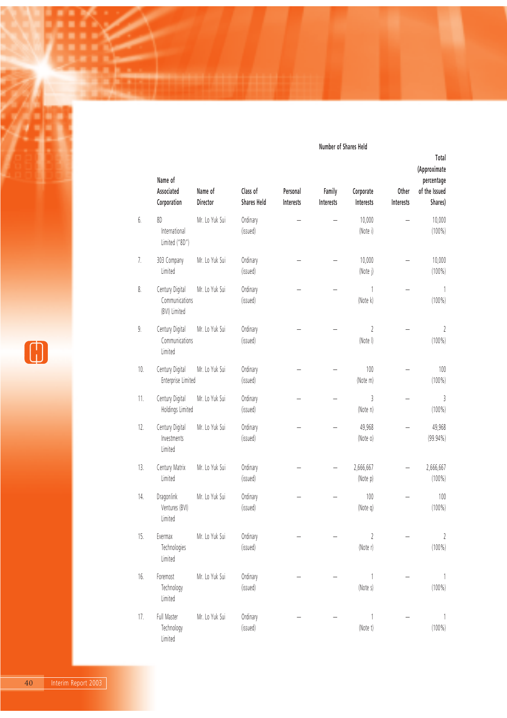|     | Name of<br>Associated<br>Corporation               | Name of<br>Director | Class of<br><b>Shares Held</b> | Personal<br>Interests | Family<br>Interests | Corporate<br>Interests     | Other<br>Interests | Total<br>(Approximate<br>percentage<br>of the Issued<br>Shares) |
|-----|----------------------------------------------------|---------------------|--------------------------------|-----------------------|---------------------|----------------------------|--------------------|-----------------------------------------------------------------|
| б.  | 8D<br>International<br>Limited ("8D")              | Mr. Lo Yuk Sui      | Ordinary<br>(issued)           |                       |                     | 10,000<br>(Note i)         |                    | 10,000<br>$(100\%)$                                             |
| 7.  | 303 Company<br>Limited                             | Mr. Lo Yuk Sui      | Ordinary<br>(issued)           |                       |                     | 10,000<br>(Note j)         |                    | 10,000<br>$(100\%)$                                             |
| 8.  | Century Digital<br>Communications<br>(BVI) Limited | Mr. Lo Yuk Sui      | Ordinary<br>(issued)           |                       |                     | 1<br>(Note k)              |                    | 1<br>$(100\%)$                                                  |
| 9.  | Century Digital<br>Communications<br>Limited       | Mr. Lo Yuk Sui      | Ordinary<br>(issued)           |                       |                     | $\overline{2}$<br>(Note I) |                    | $\sqrt{2}$<br>$(100\%)$                                         |
| 10. | Century Digital<br>Enterprise Limited              | Mr. Lo Yuk Sui      | Ordinary<br>(issued)           |                       |                     | 100<br>(Note m)            |                    | 100<br>$(100\%)$                                                |
| 11. | Century Digital<br>Holdings Limited                | Mr. Lo Yuk Sui      | Ordinary<br>(issued)           |                       |                     | 3<br>(Note n)              |                    | 3<br>$(100\%)$                                                  |
| 12. | Century Digital<br>Investments<br>Limited          | Mr. Lo Yuk Sui      | Ordinary<br>(issued)           |                       |                     | 49,968<br>(Note o)         |                    | 49,968<br>$(99.94\%)$                                           |
| 13. | Century Matrix<br>Limited                          | Mr. Lo Yuk Sui      | Ordinary<br>(issued)           |                       |                     | 2,666,667<br>(Note p)      |                    | 2,666,667<br>$(100\%)$                                          |
| 14. | Dragonlink<br>Ventures (BVI)<br>Limited            | Mr. Lo Yuk Sui      | Ordinary<br>(issued)           |                       |                     | 100<br>(Note q)            |                    | 100<br>$(100\%)$                                                |
| 15. | Evermax<br>Technologies<br>Limited                 | Mr. Lo Yuk Sui      | Ordinary<br>(issued)           |                       |                     | 2<br>(Note r)              |                    | 2<br>$(100\%)$                                                  |
| 16. | Foremost<br>Technology<br>Limited                  | Mr. Lo Yuk Sui      | Ordinary<br>(issued)           |                       |                     | (Note s)                   |                    | 1<br>$(100\%)$                                                  |
| 17. | Full Master<br>Technology<br>Limited               | Mr. Lo Yuk Sui      | Ordinary<br>(issued)           |                       |                     | (Note t)                   |                    | 1<br>$(100\%)$                                                  |



n n

v.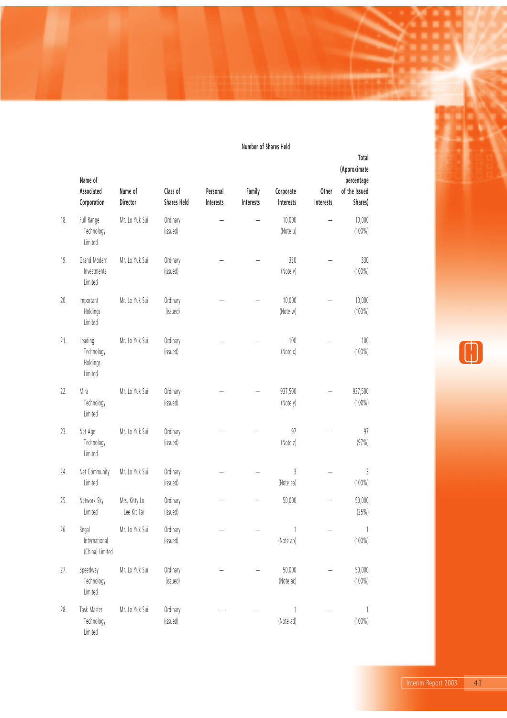|     | Name of<br>Associated<br>Corporation         | Name of<br>Director          | Class of<br><b>Shares Held</b> | Personal<br>Interests | Family<br>Interests | Corporate<br>Interests | Other<br>Interests | Total<br>(Approximate<br>percentage<br>of the Issued<br>Shares) |
|-----|----------------------------------------------|------------------------------|--------------------------------|-----------------------|---------------------|------------------------|--------------------|-----------------------------------------------------------------|
| 18. | Full Range<br>Technology<br>Limited          | Mr. Lo Yuk Sui               | Ordinary<br>(issued)           |                       |                     | 10,000<br>(Note u)     |                    | 10,000<br>$(100\%)$                                             |
| 19. | Grand Modern<br>Investments<br>Limited       | Mr. Lo Yuk Sui               | Ordinary<br>(issued)           |                       |                     | 330<br>(Note v)        |                    | 330<br>$(100\%)$                                                |
| 20. | Important<br>Holdings<br>Limited             | Mr. Lo Yuk Sui               | Ordinary<br>(issued)           |                       |                     | 10,000<br>(Note w)     |                    | 10,000<br>$(100\%)$                                             |
| 21. | Leading<br>Technology<br>Holdings<br>Limited | Mr. Lo Yuk Sui               | Ordinary<br>(issued)           |                       |                     | 100<br>(Note x)        |                    | 100<br>$(100\%)$                                                |
| 22. | Mira<br>Technology<br>Limited                | Mr. Lo Yuk Sui               | Ordinary<br>(issued)           |                       |                     | 937,500<br>(Note y)    |                    | 937,500<br>$(100\%)$                                            |
| 23. | Net Age<br>Technology<br>Limited             | Mr. Lo Yuk Sui               | Ordinary<br>(issued)           |                       |                     | 97<br>(Note z)         |                    | 97<br>(97%)                                                     |
| 24. | Net Community<br>Limited                     | Mr. Lo Yuk Sui               | Ordinary<br>(issued)           |                       |                     | 3<br>(Note aa)         |                    | 3<br>$(100\%)$                                                  |
| 25. | Network Sky<br>Limited                       | Mrs. Kitty Lo<br>Lee Kit Tai | Ordinary<br>(issued)           |                       |                     | 50,000                 |                    | 50,000<br>(25%)                                                 |
| 26. | Regal<br>International<br>(China) Limited    | Mr. Lo Yuk Sui               | Ordinary<br>(issued)           |                       |                     | 1<br>(Note ab)         |                    | 1<br>$(100\%)$                                                  |
| 27. | Speedway<br>Technology<br>Limited            | Mr. Lo Yuk Sui               | Ordinary<br>(issued)           |                       |                     | 50,000<br>(Note ac)    |                    | 50,000<br>$(100\%)$                                             |
| 28. | Task Master<br>Technology<br>Limited         | Mr. Lo Yuk Sui               | Ordinary<br>(issued)           |                       |                     | 1<br>(Note ad)         |                    | 1<br>$(100\%)$                                                  |





Interim Report 2003 41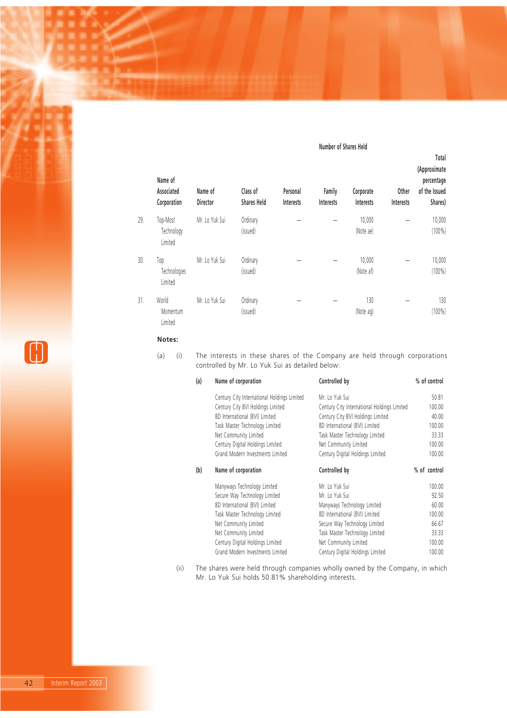|     | Name of<br>Associated<br>Corporation | Name of<br>Director | Class of<br><b>Shares Held</b> | Personal<br>Interests | Family<br>Interests | Corporate<br>Interests | Other<br>Interests | Total<br>(Approximate<br>percentage<br>of the Issued<br>Shares) |
|-----|--------------------------------------|---------------------|--------------------------------|-----------------------|---------------------|------------------------|--------------------|-----------------------------------------------------------------|
| 29. | Top-Most<br>Technology<br>Limited    | Mr. Lo Yuk Sui      | Ordinary<br>(issued)           |                       |                     | 10,000<br>(Note ae)    |                    | 10,000<br>$(100\%)$                                             |
| 30. | Top<br>Technologies<br>Limited       | Mr. Lo Yuk Sui      | Ordinary<br>(issued)           |                       |                     | 10,000<br>(Note af)    |                    | 10,000<br>$(100\%)$                                             |
| 31. | World<br>Momentum<br>Limited         | Mr. Lo Yuk Sui      | Ordinary<br>(issued)           |                       |                     | 130<br>(Note ag)       |                    | 130<br>$(100\%)$                                                |

**Notes:**

(a) (i) The interests in these shares of the Company are held through corporations controlled by Mr. Lo Yuk Sui as detailed below:

| (a) | Name of corporation                         | Controlled by                               | % of control |
|-----|---------------------------------------------|---------------------------------------------|--------------|
|     | Century City International Holdings Limited | Mr. Lo Yuk Sui                              | 50.81        |
|     | Century City BVI Holdings Limited           | Century City International Holdings Limited | 100.00       |
|     | 8D International (BVI) Limited              | Century City BVI Holdings Limited           | 40.00        |
|     | Task Master Technology Limited              | 8D International (BVI) Limited              | 100.00       |
|     | Net Community Limited                       | Task Master Technology Limited              | 33.33        |
|     | Century Digital Holdings Limited            | Net Community Limited                       | 100.00       |
|     | Grand Modern Investments Limited            | Century Digital Holdings Limited            | 100.00       |
| (b) | Name of corporation                         | Controlled by                               | % of control |
|     | Manyways Technology Limited                 | Mr. Lo Yuk Sui                              | 100.00       |
|     | Secure Way Technology Limited               | Mr. Lo Yuk Sui                              | 92.50        |
|     | 8D International (BVI) Limited              | Manyways Technology Limited                 | 60.00        |
|     | Task Master Technology Limited              | 8D International (BVI) Limited              | 100.00       |
|     | Net Community Limited                       | Secure Way Technology Limited               | 66.67        |
|     | Net Community Limited                       | Task Master Technology Limited              | 33.33        |
|     | Century Digital Holdings Limited            | Net Community Limited                       | 100.00       |
|     | Grand Modern Investments Limited            | Century Digital Holdings Limited            | 100.00       |

(ii) The shares were held through companies wholly owned by the Company, in which Mr. Lo Yuk Sui holds 50.81% shareholding interests.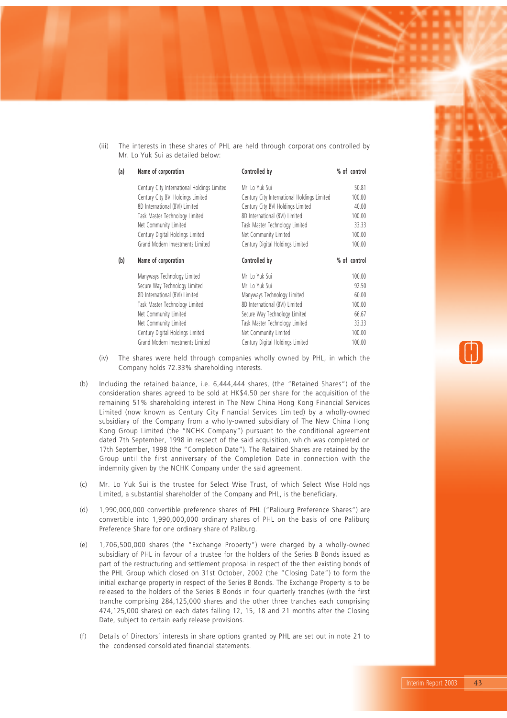(iii) The interests in these shares of PHL are held through corporations controlled by Mr. Lo Yuk Sui as detailed below:

| (a) | Name of corporation                         | Controlled by                               | % of control |  |
|-----|---------------------------------------------|---------------------------------------------|--------------|--|
|     | Century City International Holdings Limited | Mr. Lo Yuk Sui                              | 50.81        |  |
|     | Century City BVI Holdings Limited           | Century City International Holdings Limited | 100.00       |  |
|     | 8D International (BVI) Limited              | Century City BVI Holdings Limited           | 40.00        |  |
|     | Task Master Technology Limited              | 8D International (BVI) Limited              | 100.00       |  |
|     | Net Community Limited                       | Task Master Technology Limited              | 33.33        |  |
|     | Century Digital Holdings Limited            | Net Community Limited                       | 100.00       |  |
|     | Grand Modern Investments Limited            | Century Digital Holdings Limited            | 100.00       |  |
| (b) | Name of corporation                         | Controlled by                               | % of control |  |
|     | Manyways Technology Limited                 | Mr. Lo Yuk Sui                              | 100.00       |  |
|     | Secure Way Technology Limited               | Mr. Lo Yuk Sui                              | 92.50        |  |
|     | 8D International (BVI) Limited              | Manyways Technology Limited                 | 60.00        |  |
|     | Task Master Technology Limited              | 8D International (BVI) Limited              | 100.00       |  |
|     | Net Community Limited                       | Secure Way Technology Limited               | 66.67        |  |
|     | Net Community Limited                       | Task Master Technology Limited              | 33.33        |  |
|     | Century Digital Holdings Limited            | Net Community Limited                       | 100.00       |  |
|     | Grand Modern Investments Limited            | Century Digital Holdings Limited            | 100.00       |  |

- (iv) The shares were held through companies wholly owned by PHL, in which the Company holds 72.33% shareholding interests.
- (b) Including the retained balance, i.e. 6,444,444 shares, (the "Retained Shares") of the consideration shares agreed to be sold at HK\$4.50 per share for the acquisition of the remaining 51% shareholding interest in The New China Hong Kong Financial Services Limited (now known as Century City Financial Services Limited) by a wholly-owned subsidiary of the Company from a wholly-owned subsidiary of The New China Hong Kong Group Limited (the "NCHK Company") pursuant to the conditional agreement dated 7th September, 1998 in respect of the said acquisition, which was completed on 17th September, 1998 (the "Completion Date"). The Retained Shares are retained by the Group until the first anniversary of the Completion Date in connection with the indemnity given by the NCHK Company under the said agreement.
- (c) Mr. Lo Yuk Sui is the trustee for Select Wise Trust, of which Select Wise Holdings Limited, a substantial shareholder of the Company and PHL, is the beneficiary.
- (d) 1,990,000,000 convertible preference shares of PHL ("Paliburg Preference Shares") are convertible into 1,990,000,000 ordinary shares of PHL on the basis of one Paliburg Preference Share for one ordinary share of Paliburg.
- (e) 1,706,500,000 shares (the "Exchange Property") were charged by a wholly-owned subsidiary of PHL in favour of a trustee for the holders of the Series B Bonds issued as part of the restructuring and settlement proposal in respect of the then existing bonds of the PHL Group which closed on 31st October, 2002 (the "Closing Date") to form the initial exchange property in respect of the Series B Bonds. The Exchange Property is to be released to the holders of the Series B Bonds in four quarterly tranches (with the first tranche comprising 284,125,000 shares and the other three tranches each comprising 474,125,000 shares) on each dates falling 12, 15, 18 and 21 months after the Closing Date, subject to certain early release provisions.
- (f) Details of Directors' interests in share options granted by PHL are set out in note 21 to the condensed consoldiated financial statements.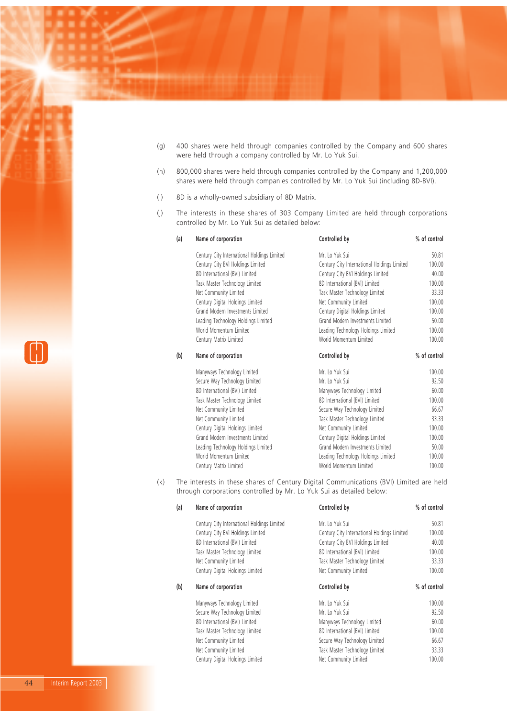- (g) 400 shares were held through companies controlled by the Company and 600 shares were held through a company controlled by Mr. Lo Yuk Sui.
- (h) 800,000 shares were held through companies controlled by the Company and 1,200,000 shares were held through companies controlled by Mr. Lo Yuk Sui (including 8D-BVI).
- (i) 8D is a wholly-owned subsidiary of 8D Matrix.
- (j) The interests in these shares of 303 Company Limited are held through corporations controlled by Mr. Lo Yuk Sui as detailed below:

| (a) | Name of corporation                         | Controlled by                               | % of control |
|-----|---------------------------------------------|---------------------------------------------|--------------|
|     | Century City International Holdings Limited | Mr. Lo Yuk Sui                              | 50.81        |
|     | Century City BVI Holdings Limited           | Century City International Holdings Limited | 100.00       |
|     | 8D International (BVI) Limited              | Century City BVI Holdings Limited           | 40.00        |
|     | Task Master Technology Limited              | 8D International (BVI) Limited              | 100.00       |
|     | Net Community Limited                       | Task Master Technology Limited              | 33.33        |
|     | Century Digital Holdings Limited            | Net Community Limited                       | 100.00       |
|     | Grand Modern Investments Limited            | Century Digital Holdings Limited            | 100.00       |
|     | Leading Technology Holdings Limited         | Grand Modern Investments Limited            | 50.00        |
|     | World Momentum Limited                      | Leading Technology Holdings Limited         | 100.00       |
|     | Century Matrix Limited                      | World Momentum Limited                      | 100.00       |
| (b) | Name of corporation                         | Controlled by                               | % of control |
|     | Manyways Technology Limited                 | Mr. Lo Yuk Sui                              | 100.00       |
|     | Secure Way Technology Limited               | Mr. Lo Yuk Sui                              | 92.50        |
|     | 8D International (BVI) Limited              | Manyways Technology Limited                 | 60.00        |
|     | Task Master Technology Limited              | 8D International (BVI) Limited              | 100.00       |
|     | Net Community Limited                       | Secure Way Technology Limited               | 66.67        |
|     | Net Community Limited                       | Task Master Technology Limited              | 33.33        |
|     | Century Digital Holdings Limited            | Net Community Limited                       | 100.00       |
|     | Grand Modern Investments Limited            | Century Digital Holdings Limited            | 100.00       |
|     | Leading Technology Holdings Limited         | Grand Modern Investments Limited            | 50.00        |
|     | World Momentum Limited                      | Leading Technology Holdings Limited         | 100.00       |
|     | Century Matrix Limited                      | World Momentum Limited                      | 100.00       |

(k) The interests in these shares of Century Digital Communications (BVI) Limited are held through corporations controlled by Mr. Lo Yuk Sui as detailed below:

| (a) | Name of corporation                         | Controlled by                               | % of control |
|-----|---------------------------------------------|---------------------------------------------|--------------|
|     | Century City International Holdings Limited | Mr. Lo Yuk Sui                              | 50.81        |
|     | Century City BVI Holdings Limited           | Century City International Holdings Limited | 100.00       |
|     | 8D International (BVI) Limited              | Century City BVI Holdings Limited           | 40.00        |
|     | Task Master Technology Limited              | 8D International (BVI) Limited              | 100.00       |
|     | Net Community Limited                       | Task Master Technology Limited              | 33.33        |
|     | Century Digital Holdings Limited            | Net Community Limited                       | 100.00       |
| (b) | Name of corporation                         | Controlled by                               | % of control |
|     | Manyways Technology Limited                 | Mr. Lo Yuk Sui                              | 100.00       |
|     | Secure Way Technology Limited               | Mr. Lo Yuk Sui                              | 92.50        |
|     | 8D International (BVI) Limited              | Manyways Technology Limited                 | 60.00        |
|     | Task Master Technology Limited              | 8D International (BVI) Limited              | 100.00       |
|     | Net Community Limited                       | Secure Way Technology Limited               | 66.67        |
|     | Net Community Limited                       | Task Master Technology Limited              | 33.33        |
|     | Century Digital Holdings Limited            | Net Community Limited                       | 100.00       |

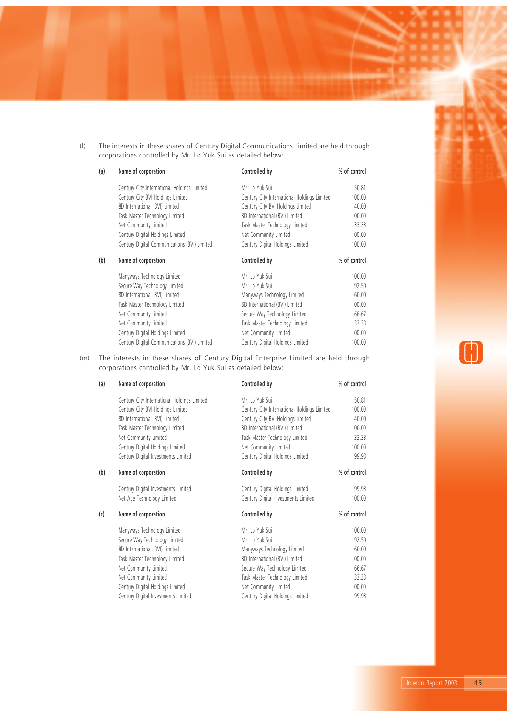(l) The interests in these shares of Century Digital Communications Limited are held through corporations controlled by Mr. Lo Yuk Sui as detailed below:

| (a) | Name of corporation                          | Controlled by                               | % of control |
|-----|----------------------------------------------|---------------------------------------------|--------------|
|     | Century City International Holdings Limited  | Mr. Lo Yuk Sui                              | 50.81        |
|     | Century City BVI Holdings Limited            | Century City International Holdings Limited | 100.00       |
|     | 8D International (BVI) Limited               | Century City BVI Holdings Limited           | 40.00        |
|     | Task Master Technology Limited               | 8D International (BVI) Limited              | 100.00       |
|     | Net Community Limited                        | Task Master Technology Limited              | 33.33        |
|     | Century Digital Holdings Limited             | Net Community Limited                       | 100.00       |
|     | Century Digital Communications (BVI) Limited | Century Digital Holdings Limited            | 100.00       |
| (b) | Name of corporation                          | Controlled by                               | % of control |
|     | Manyways Technology Limited                  | Mr. Lo Yuk Sui                              | 100.00       |
|     |                                              |                                             |              |
|     | Secure Way Technology Limited                | Mr. Lo Yuk Sui                              | 92.50        |
|     | 8D International (BVI) Limited               | Manyways Technology Limited                 | 60.00        |
|     | Task Master Technology Limited               | 8D International (BVI) Limited              | 100.00       |
|     | Net Community Limited                        | Secure Way Technology Limited               | 66.67        |
|     | Net Community Limited                        | Task Master Technology Limited              | 33.33        |
|     | Century Digital Holdings Limited             | Net Community Limited                       | 100.00       |

(m) The interests in these shares of Century Digital Enterprise Limited are held through corporations controlled by Mr. Lo Yuk Sui as detailed below:

| (a) | Name of corporation                         | Controlled by                               | % of control |
|-----|---------------------------------------------|---------------------------------------------|--------------|
|     | Century City International Holdings Limited | Mr. Lo Yuk Sui                              | 50.81        |
|     | Century City BVI Holdings Limited           | Century City International Holdings Limited | 100.00       |
|     | 8D International (BVI) Limited              | Century City BVI Holdings Limited           | 40.00        |
|     | Task Master Technology Limited              | 8D International (BVI) Limited              | 100.00       |
|     | Net Community Limited                       | Task Master Technology Limited              | 33.33        |
|     | Century Digital Holdings Limited            | Net Community Limited                       | 100.00       |
|     | Century Digital Investments Limited         | Century Digital Holdings Limited            | 99.93        |
| (b) | Name of corporation                         | Controlled by                               | % of control |
|     | Century Digital Investments Limited         | Century Digital Holdings Limited            | 99.93        |
|     | Net Age Technology Limited                  | Century Digital Investments Limited         | 100.00       |
| (c) | Name of corporation                         | Controlled by                               | % of control |
|     | Manyways Technology Limited                 | Mr. Lo Yuk Sui                              | 100.00       |
|     | Secure Way Technology Limited               | Mr. Lo Yuk Sui                              | 92.50        |
|     | 8D International (BVI) Limited              | Manyways Technology Limited                 | 60.00        |
|     | Task Master Technology Limited              | 8D International (BVI) Limited              | 100.00       |
|     | Net Community Limited                       | Secure Way Technology Limited               | 66.67        |
|     | Net Community Limited                       | Task Master Technology Limited              | 33.33        |
|     | Century Digital Holdings Limited            | Net Community Limited                       | 100.00       |
|     | Century Digital Investments Limited         | Century Digital Holdings Limited            | 99.93        |
|     |                                             |                                             |              |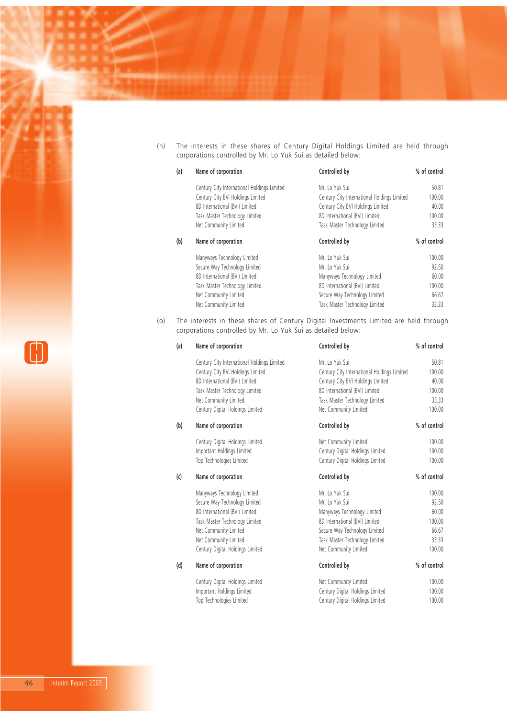(n) The interests in these shares of Century Digital Holdings Limited are held through corporations controlled by Mr. Lo Yuk Sui as detailed below:

| (a) | Name of corporation                         | Controlled by                               | % of control |
|-----|---------------------------------------------|---------------------------------------------|--------------|
|     | Century City International Holdings Limited | Mr. Lo Yuk Sui                              | 50.81        |
|     | Century City BVI Holdings Limited           | Century City International Holdings Limited | 100.00       |
|     | 8D International (BVI) Limited              | Century City BVI Holdings Limited           | 40.00        |
|     | Task Master Technology Limited              | 8D International (BVI) Limited              | 100.00       |
|     | Net Community Limited                       | Task Master Technology Limited              | 33.33        |
| (b) | Name of corporation                         | Controlled by                               | % of control |
|     | Manyways Technology Limited                 | Mr. Lo Yuk Sui                              | 100.00       |
|     | Secure Way Technology Limited               | Mr. Lo Yuk Sui                              | 92.50        |
|     | 8D International (BVI) Limited              | Manyways Technology Limited                 | 60.00        |
|     | Task Master Technology Limited              | 8D International (BVI) Limited              | 100.00       |
|     | Net Community Limited                       | Secure Way Technology Limited               | 66.67        |
|     |                                             |                                             |              |

(o) The interests in these shares of Century Digital Investments Limited are held through corporations controlled by Mr. Lo Yuk Sui as detailed below:

| (a) | Name of corporation                         | Controlled by                               | % of control |
|-----|---------------------------------------------|---------------------------------------------|--------------|
|     | Century City International Holdings Limited | Mr. Lo Yuk Sui                              | 50.81        |
|     | Century City BVI Holdings Limited           | Century City International Holdings Limited | 100.00       |
|     | 8D International (BVI) Limited              | Century City BVI Holdings Limited           | 40.00        |
|     | Task Master Technology Limited              | 8D International (BVI) Limited              | 100.00       |
|     | Net Community Limited                       | Task Master Technology Limited              | 33.33        |
|     | Century Digital Holdings Limited            | Net Community Limited                       | 100.00       |
| (b) | Name of corporation                         | Controlled by                               | % of control |
|     | Century Digital Holdings Limited            | Net Community Limited                       | 100.00       |
|     | Important Holdings Limited                  | Century Digital Holdings Limited            | 100.00       |
|     | Top Technologies Limited                    | Century Digital Holdings Limited            | 100.00       |
| (c) | Name of corporation                         | Controlled by                               | % of control |
|     | Manyways Technology Limited                 | Mr. Lo Yuk Sui                              | 100.00       |
|     | Secure Way Technology Limited               | Mr. Lo Yuk Sui                              | 92.50        |
|     | 8D International (BVI) Limited              | Manyways Technology Limited                 | 60.00        |
|     | Task Master Technology Limited              | 8D International (BVI) Limited              | 100.00       |
|     | Net Community Limited                       | Secure Way Technology Limited               | 66.67        |
|     | Net Community Limited                       | Task Master Technology Limited              | 33.33        |
|     | Century Digital Holdings Limited            | Net Community Limited                       | 100.00       |
| (d) | Name of corporation                         | Controlled by                               | % of control |
|     | Century Digital Holdings Limited            | Net Community Limited                       | 100.00       |
|     | Important Holdings Limited                  | Century Digital Holdings Limited            | 100.00       |
|     | Top Technologies Limited                    | Century Digital Holdings Limited            | 100.00       |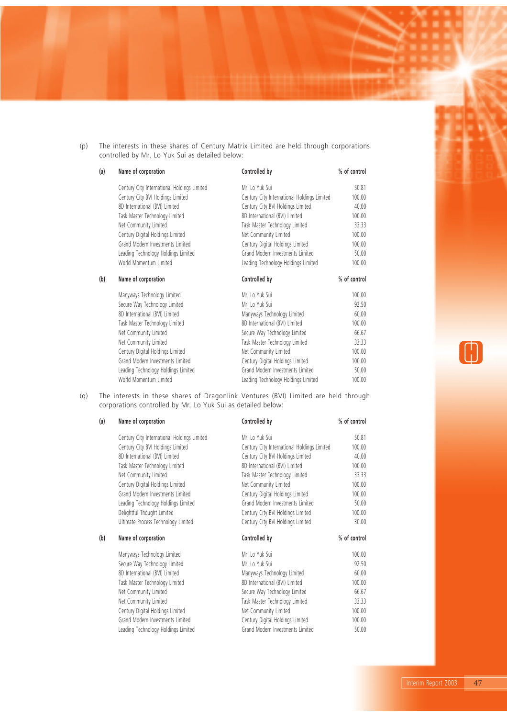(p) The interests in these shares of Century Matrix Limited are held through corporations controlled by Mr. Lo Yuk Sui as detailed below:

| (a) | Name of corporation                         | Controlled by                               | % of control |
|-----|---------------------------------------------|---------------------------------------------|--------------|
|     | Century City International Holdings Limited | Mr. Lo Yuk Sui                              | 50.81        |
|     | Century City BVI Holdings Limited           | Century City International Holdings Limited | 100.00       |
|     | 8D International (BVI) Limited              | Century City BVI Holdings Limited           | 40.00        |
|     | Task Master Technology Limited              | 8D International (BVI) Limited              | 100.00       |
|     | Net Community Limited                       | Task Master Technology Limited              | 33.33        |
|     | Century Digital Holdings Limited            | Net Community Limited                       | 100.00       |
|     | Grand Modern Investments Limited            | Century Digital Holdings Limited            | 100.00       |
|     | Leading Technology Holdings Limited         | Grand Modern Investments Limited            | 50.00        |
|     | World Momentum Limited                      | Leading Technology Holdings Limited         | 100.00       |
| (b) | Name of corporation                         | Controlled by                               | % of control |
|     | Manyways Technology Limited                 | Mr. Lo Yuk Sui                              | 100.00       |
|     | Secure Way Technology Limited               | Mr. Lo Yuk Sui                              | 92.50        |
|     | 8D International (BVI) Limited              | Manyways Technology Limited                 | 60.00        |
|     | Task Master Technology Limited              | 8D International (BVI) Limited              | 100.00       |
|     | Net Community Limited                       | Secure Way Technology Limited               | 66.67        |
|     |                                             |                                             |              |
|     | Net Community Limited                       | Task Master Technology Limited              | 33.33        |
|     | Century Digital Holdings Limited            | Net Community Limited                       | 100.00       |
|     | Grand Modern Investments Limited            | Century Digital Holdings Limited            | 100.00       |
|     | Leading Technology Holdings Limited         | Grand Modern Investments Limited            | 50.00        |

(q) The interests in these shares of Dragonlink Ventures (BVI) Limited are held through corporations controlled by Mr. Lo Yuk Sui as detailed below:

| (a) | Name of corporation                         | Controlled by                               | % of control |
|-----|---------------------------------------------|---------------------------------------------|--------------|
|     | Century City International Holdings Limited | Mr. Lo Yuk Sui                              | 50.81        |
|     | Century City BVI Holdings Limited           | Century City International Holdings Limited | 100.00       |
|     | 8D International (BVI) Limited              | Century City BVI Holdings Limited           | 40.00        |
|     | Task Master Technology Limited              | 8D International (BVI) Limited              | 100.00       |
|     | Net Community Limited                       | Task Master Technology Limited              | 33.33        |
|     | Century Digital Holdings Limited            | Net Community Limited                       | 100.00       |
|     | Grand Modern Investments Limited            | Century Digital Holdings Limited            | 100.00       |
|     | Leading Technology Holdings Limited         | Grand Modern Investments Limited            | 50.00        |
|     | Delightful Thought Limited                  | Century City BVI Holdings Limited           | 100.00       |
|     | Ultimate Process Technology Limited         | Century City BVI Holdings Limited           | 30.00        |
| (b) | Name of corporation                         | Controlled by                               | % of control |
|     | Manyways Technology Limited                 | Mr. Lo Yuk Sui                              | 100.00       |
|     | Secure Way Technology Limited               | Mr. Lo Yuk Sui                              | 92.50        |
|     | 8D International (BVI) Limited              | Manyways Technology Limited                 | 60.00        |
|     | Task Master Technology Limited              | 8D International (BVI) Limited              | 100.00       |
|     | Net Community Limited                       | Secure Way Technology Limited               | 66.67        |
|     | Net Community Limited                       | Task Master Technology Limited              | 33.33        |
|     | Century Digital Holdings Limited            | Net Community Limited                       | 100.00       |
|     | Grand Modern Investments Limited            | Century Digital Holdings Limited            | 100.00       |
|     | Leading Technology Holdings Limited         | Grand Modern Investments Limited            | 50.00        |
|     |                                             |                                             |              |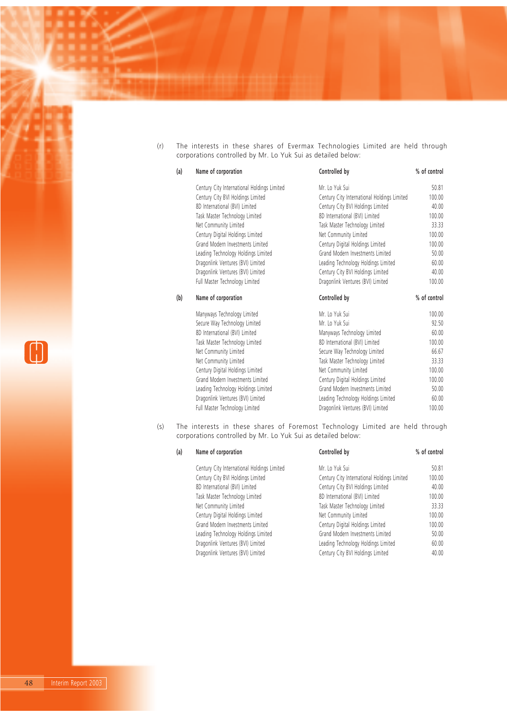(r) The interests in these shares of Evermax Technologies Limited are held through corporations controlled by Mr. Lo Yuk Sui as detailed below:

| (a) | Name of corporation                         | Controlled by                               | % of control |
|-----|---------------------------------------------|---------------------------------------------|--------------|
|     | Century City International Holdings Limited | Mr. Lo Yuk Sui                              | 50.81        |
|     | Century City BVI Holdings Limited           | Century City International Holdings Limited | 100.00       |
|     | 8D International (BVI) Limited              | Century City BVI Holdings Limited           | 40.00        |
|     | Task Master Technology Limited              | 8D International (BVI) Limited              | 100.00       |
|     | Net Community Limited                       | Task Master Technology Limited              | 33.33        |
|     | Century Digital Holdings Limited            | Net Community Limited                       | 100.00       |
|     | Grand Modern Investments Limited            | Century Digital Holdings Limited            | 100.00       |
|     | Leading Technology Holdings Limited         | Grand Modern Investments Limited            | 50.00        |
|     | Dragonlink Ventures (BVI) Limited           | Leading Technology Holdings Limited         | 60.00        |
|     | Dragonlink Ventures (BVI) Limited           | Century City BVI Holdings Limited           | 40.00        |
|     | Full Master Technology Limited              | Dragonlink Ventures (BVI) Limited           | 100.00       |
|     |                                             |                                             |              |
| (b) | Name of corporation                         | Controlled by                               | % of control |
|     | Manyways Technology Limited                 | Mr. Lo Yuk Sui                              | 100.00       |
|     | Secure Way Technology Limited               | Mr. Lo Yuk Sui                              | 92.50        |
|     | 8D International (BVI) Limited              | Manyways Technology Limited                 | 60.00        |
|     | Task Master Technology Limited              | 8D International (BVI) Limited              | 100.00       |
|     | Net Community Limited                       | Secure Way Technology Limited               | 66.67        |
|     | Net Community Limited                       | Task Master Technology Limited              | 33.33        |
|     | Century Digital Holdings Limited            | Net Community Limited                       | 100.00       |
|     | Grand Modern Investments Limited            | Century Digital Holdings Limited            | 100.00       |
|     | Leading Technology Holdings Limited         | Grand Modern Investments Limited            | 50.00        |
|     | Dragonlink Ventures (BVI) Limited           | Leading Technology Holdings Limited         | 60.00        |

(s) The interests in these shares of Foremost Technology Limited are held through corporations controlled by Mr. Lo Yuk Sui as detailed below:

| (a) | Name of corporation                         | Controlled by                               | % of control |
|-----|---------------------------------------------|---------------------------------------------|--------------|
|     | Century City International Holdings Limited | Mr. Lo Yuk Sui                              | 50.81        |
|     | Century City BVI Holdings Limited           | Century City International Holdings Limited | 100.00       |
|     | 8D International (BVI) Limited              | Century City BVI Holdings Limited           | 40.00        |
|     | Task Master Technology Limited              | 8D International (BVI) Limited              | 100.00       |
|     | Net Community Limited                       | Task Master Technology Limited              | 33.33        |
|     | Century Digital Holdings Limited            | Net Community Limited                       | 100.00       |
|     | Grand Modern Investments Limited            | Century Digital Holdings Limited            | 100.00       |
|     | Leading Technology Holdings Limited         | Grand Modern Investments Limited            | 50.00        |
|     | Dragonlink Ventures (BVI) Limited           | Leading Technology Holdings Limited         | 60.00        |
|     | Dragonlink Ventures (BVI) Limited           | Century City BVI Holdings Limited           | 40.00        |

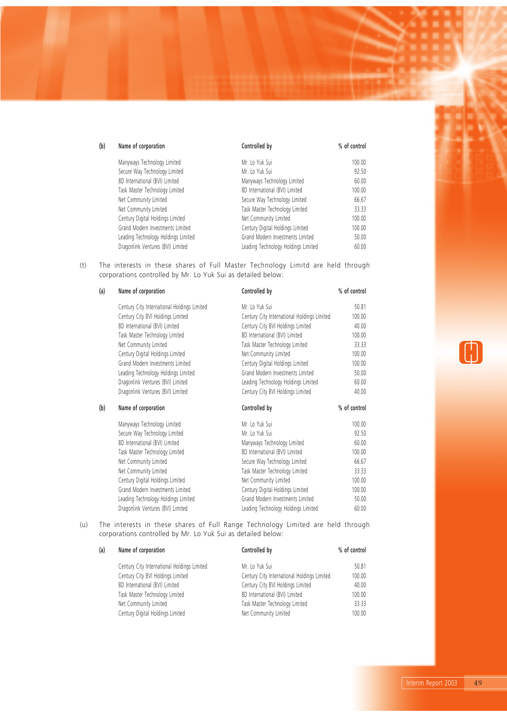| (b)<br>Name of corporation<br>Controlled by                              | % of control |
|--------------------------------------------------------------------------|--------------|
| Manyways Technology Limited<br>Mr. Lo Yuk Sui                            | 100.00       |
| Secure Way Technology Limited<br>Mr. Lo Yuk Sui                          | 92.50        |
| 8D International (BVI) Limited<br>Manyways Technology Limited            | 60.00        |
| Task Master Technology Limited<br>8D International (BVI) Limited         | 100.00       |
| Net Community Limited<br>Secure Way Technology Limited                   | 66.67        |
| Task Master Technology Limited<br>Net Community Limited                  | 33.33        |
| Century Digital Holdings Limited<br>Net Community Limited                | 100.00       |
| Grand Modern Investments Limited<br>Century Digital Holdings Limited     | 100.00       |
| Grand Modern Investments Limited<br>Leading Technology Holdings Limited  | 50.00        |
| Dragonlink Ventures (BVI) Limited<br>Leading Technology Holdings Limited | 60.00        |

(t) The interests in these shares of Full Master Technology Limitd are held through corporations controlled by Mr. Lo Yuk Sui as detailed below:

| (a) | Name of corporation                         | Controlled by                               | % of control |
|-----|---------------------------------------------|---------------------------------------------|--------------|
|     | Century City International Holdings Limited | Mr. Lo Yuk Sui                              | 50.81        |
|     | Century City BVI Holdings Limited           | Century City International Holdings Limited | 100.00       |
|     | 8D International (BVI) Limited              | Century City BVI Holdings Limited           | 40.00        |
|     | Task Master Technology Limited              | 8D International (BVI) Limited              | 100.00       |
|     | Net Community Limited                       | Task Master Technology Limited              | 33.33        |
|     | Century Digital Holdings Limited            | Net Community Limited                       | 100.00       |
|     | Grand Modern Investments Limited            | Century Digital Holdings Limited            | 100.00       |
|     | Leading Technology Holdings Limited         | Grand Modern Investments Limited            | 50.00        |
|     | Dragonlink Ventures (BVI) Limited           | Leading Technology Holdings Limited         | 60.00        |
|     | Dragonlink Ventures (BVI) Limited           | Century City BVI Holdings Limited           | 40.00        |
|     |                                             |                                             |              |
| (b) | Name of corporation                         | Controlled by                               | % of control |
|     | Manyways Technology Limited                 | Mr. Lo Yuk Sui                              | 100.00       |
|     | Secure Way Technology Limited               | Mr. Lo Yuk Sui                              | 92.50        |
|     | 8D International (BVI) Limited              | Manyways Technology Limited                 | 60.00        |
|     | Task Master Technology Limited              | 8D International (BVI) Limited              | 100.00       |
|     | Net Community Limited                       | Secure Way Technology Limited               | 66.67        |
|     | Net Community Limited                       | Task Master Technology Limited              | 33.33        |
|     | Century Digital Holdings Limited            | Net Community Limited                       | 100.00       |
|     | Grand Modern Investments Limited            | Century Digital Holdings Limited            | 100.00       |
|     | Leading Technology Holdings Limited         | Grand Modern Investments Limited            | 50.00        |

(u) The interests in these shares of Full Range Technology Limited are held through corporations controlled by Mr. Lo Yuk Sui as detailed below:

| Name of corporation                         | Controlled by                               | % of control |
|---------------------------------------------|---------------------------------------------|--------------|
| Century City International Holdings Limited | Mr. Lo Yuk Sui                              | 50.81        |
| Century City BVI Holdings Limited           | Century City International Holdings Limited | 100.00       |
| 8D International (BVI) Limited              | Century City BVI Holdings Limited           | 40.00        |
| Task Master Technology Limited              | 8D International (BVI) Limited              | 100.00       |
| Net Community Limited                       | Task Master Technology Limited              | 33.33        |
| Century Digital Holdings Limited            | Net Community Limited                       | 100.00       |
|                                             |                                             |              |

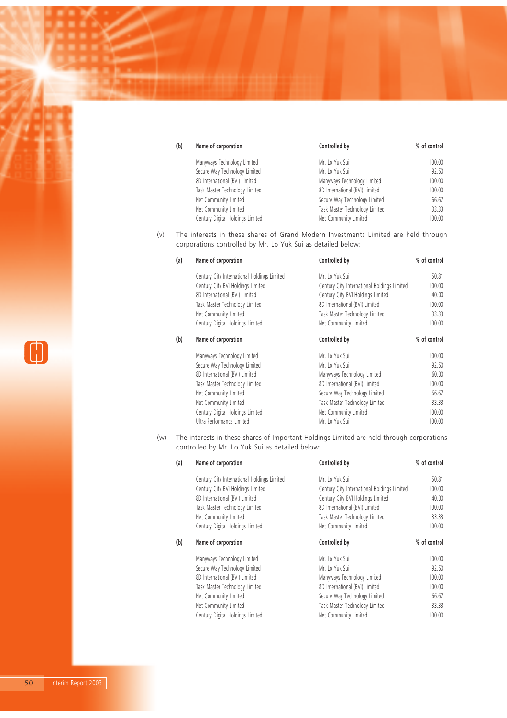| (b) | Name of corporation              | Controlled by                  | % of control |
|-----|----------------------------------|--------------------------------|--------------|
|     | Manyways Technology Limited      | Mr. Lo Yuk Sui                 | 100.00       |
|     | Secure Way Technology Limited    | Mr. Lo Yuk Sui                 | 92.50        |
|     | 8D International (BVI) Limited   | Manyways Technology Limited    | 100.00       |
|     | Task Master Technology Limited   | 8D International (BVI) Limited | 100.00       |
|     | Net Community Limited            | Secure Way Technology Limited  | 66.67        |
|     | Net Community Limited            | Task Master Technology Limited | 33.33        |
|     | Century Digital Holdings Limited | Net Community Limited          | 100.00       |

(v) The interests in these shares of Grand Modern Investments Limited are held through corporations controlled by Mr. Lo Yuk Sui as detailed below:

| (a) | Name of corporation                         | Controlled by                               | % of control |
|-----|---------------------------------------------|---------------------------------------------|--------------|
|     | Century City International Holdings Limited | Mr. Lo Yuk Sui                              | 50.81        |
|     | Century City BVI Holdings Limited           | Century City International Holdings Limited | 100.00       |
|     | 8D International (BVI) Limited              | Century City BVI Holdings Limited           | 40.00        |
|     | Task Master Technology Limited              | 8D International (BVI) Limited              | 100.00       |
|     | Net Community Limited                       | Task Master Technology Limited              | 33.33        |
|     | Century Digital Holdings Limited            | Net Community Limited                       | 100.00       |
| (b) | Name of corporation                         | Controlled by                               | % of control |
|     | Manyways Technology Limited                 | Mr. Lo Yuk Sui                              | 100.00       |
|     | Secure Way Technology Limited               | Mr. Lo Yuk Sui                              | 92.50        |
|     | 8D International (BVI) Limited              | Manyways Technology Limited                 | 60.00        |
|     | Task Master Technology Limited              | 8D International (BVI) Limited              | 100.00       |
|     | Net Community Limited                       | Secure Way Technology Limited               | 66.67        |
|     | Net Community Limited                       | Task Master Technology Limited              | 33.33        |
|     | Century Digital Holdings Limited            | Net Community Limited                       | 100.00       |
|     | Ultra Performance Limited                   | Mr. Lo Yuk Sui                              | 100.00       |

(w) The interests in these shares of Important Holdings Limited are held through corporations controlled by Mr. Lo Yuk Sui as detailed below:

| (a) | Name of corporation                         | Controlled by                               | % of control |
|-----|---------------------------------------------|---------------------------------------------|--------------|
|     | Century City International Holdings Limited | Mr. Lo Yuk Sui                              | 50.81        |
|     | Century City BVI Holdings Limited           | Century City International Holdings Limited | 100.00       |
|     | 8D International (BVI) Limited              | Century City BVI Holdings Limited           | 40.00        |
|     | Task Master Technology Limited              | 8D International (BVI) Limited              | 100.00       |
|     | Net Community Limited                       | Task Master Technology Limited              | 33.33        |
|     | Century Digital Holdings Limited            | Net Community Limited                       | 100.00       |
| (b) | Name of corporation                         | Controlled by                               | % of control |
|     | Manyways Technology Limited                 | Mr. Lo Yuk Sui                              | 100.00       |
|     | Secure Way Technology Limited               | Mr. Lo Yuk Sui                              | 92.50        |
|     |                                             |                                             |              |
|     | 8D International (BVI) Limited              | Manyways Technology Limited                 | 100.00       |
|     | Task Master Technology Limited              | 8D International (BVI) Limited              | 100.00       |
|     | Net Community Limited                       | Secure Way Technology Limited               | 66.67        |
|     | Net Community Limited                       | Task Master Technology Limited              | 33.33        |

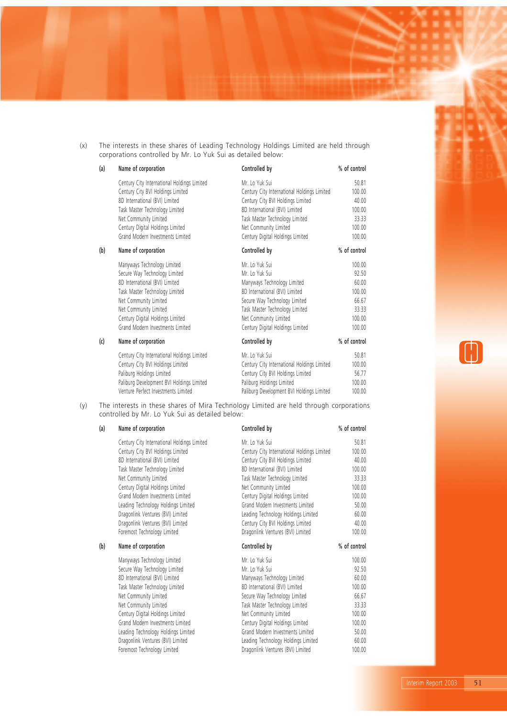(x) The interests in these shares of Leading Technology Holdings Limited are held through corporations controlled by Mr. Lo Yuk Sui as detailed below:

### **(a) Name of corporation Controlled by % of control** Century City International Holdings Limited Mr. Lo Yuk Sui 50.81 Century City BVI Holdings Limited Century City International Holdings Limited 100.00 8D International (BVI) Limited Century City BVI Holdings Limited 40.00 Task Master Technology Limited **8D** International (BVI) Limited 100.00 Net Community Limited 33.33 Century Digital Holdings Limited **Net Community Limited** 100.00 Grand Modern Investments Limited Century Digital Holdings Limited 100.00 **(b) Name of corporation Controlled by % of control** Manyways Technology Limited Mr. Lo Yuk Sui 100.00 Secure Way Technology Limited Mr. Lo Yuk Sui 92.50 8D International (BVI) Limited 60.00 Task Master Technology Limited 8D International (BVI) Limited 100.00 Net Community Limited 66.67 Net Community Limited 33.33 Century Digital Holdings Limited **Net Community Limited** 100.00 Grand Modern Investments Limited Century Digital Holdings Limited 100.00 **(c) Name of corporation Controlled by % of control** Century City International Holdings Limited Mr. Lo Yuk Sui 50.81 Century City BVI Holdings Limited Century City International Holdings Limited 100.00 Paliburg Holdings Limited 56.77 Paliburg Development BVI Holdings Limited Paliburg Holdings Limited 100.00 Venture Perfect Investments Limited Paliburg Development BVI Holdings Limited 100.00

(y) The interests in these shares of Mira Technology Limited are held through corporations controlled by Mr. Lo Yuk Sui as detailed below:

#### (a) Name of corporation

Century City International Holdings Limited Century City BVI Holdings Limited 8D International (BVI) Limited Task Master Technology Limited Net Community Limited Century Digital Holdings Limited Grand Modern Investments Limited Leading Technology Holdings Limited Dragonlink Ventures (BVI) Limited Dragonlink Ventures (BVI) Limited Foremost Technology Limited

#### (b) Name of corporation

Manyways Technology Limited Secure Way Technology Limited 8D International (BVI) Limited Task Master Technology Limited Net Community Limited Net Community Limited Century Digital Holdings Limited Grand Modern Investments Limited Leading Technology Holdings Limited Dragonlink Ventures (BVI) Limited Foremost Technology Limited

| Controlled by                                                            | % of control    |
|--------------------------------------------------------------------------|-----------------|
| Mr To Yuk Sui                                                            | 50.81           |
| Century City International Holdings Limited                              | 100.00          |
| Century City BVI Holdings Limited                                        | 40.00           |
| 8D International (BVI) Limited                                           | 100.00          |
| Task Master Technology Limited                                           | 33.33           |
| Net Community Limited                                                    | 100 00          |
| Century Digital Holdings Limited                                         | 100.00          |
| Grand Modern Investments Limited                                         | 50.00           |
| Leading Technology Holdings Limited                                      | 60.00           |
| Century City BVI Holdings Limited                                        | 40.00           |
| Dragonlink Ventures (BVI) Limited                                        | 100.00          |
|                                                                          |                 |
| Controlled by                                                            | % of control    |
| Mr To Yuk Sui                                                            | 100.00          |
| Mr To Yuk Sui                                                            | 92.50           |
| Manyways Technology Limited                                              | 60.00           |
| 8D International (BVI) Limited                                           | 100 00          |
| Secure Way Technology Limited                                            | 66.67           |
| Task Master Technology Limited                                           | 33.33           |
| Net Community Limited                                                    | 100.00          |
| Century Digital Holdings Limited                                         | 100.00          |
| Grand Modern Investments Limited                                         | 50.00           |
| Leading Technology Holdings Limited<br>Dragonlink Ventures (BVI) Limited | 60.00<br>100.00 |

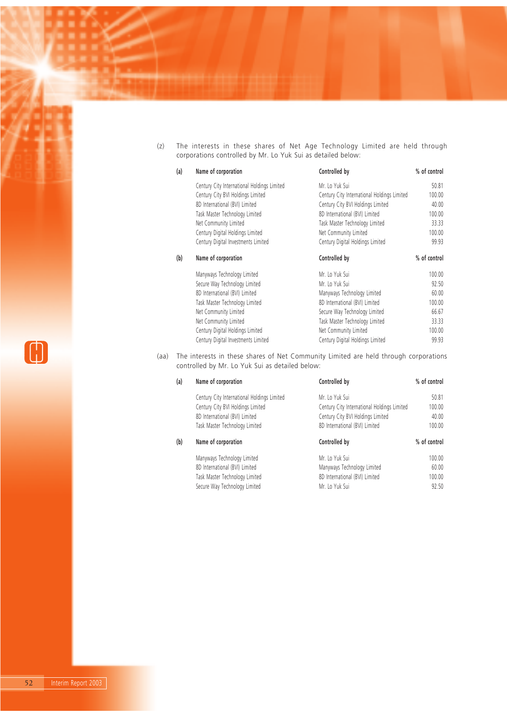(z) The interests in these shares of Net Age Technology Limited are held through corporations controlled by Mr. Lo Yuk Sui as detailed below:

| (a) | Name of corporation                         | Controlled by                               | % of control |
|-----|---------------------------------------------|---------------------------------------------|--------------|
|     | Century City International Holdings Limited | Mr. Lo Yuk Sui                              | 50.81        |
|     | Century City BVI Holdings Limited           | Century City International Holdings Limited | 100.00       |
|     | 8D International (BVI) Limited              | Century City BVI Holdings Limited           | 40.00        |
|     | Task Master Technology Limited              | 8D International (BVI) Limited              | 100.00       |
|     | Net Community Limited                       | Task Master Technology Limited              | 33.33        |
|     | Century Digital Holdings Limited            | Net Community Limited                       | 100.00       |
|     | Century Digital Investments Limited         | Century Digital Holdings Limited            | 99.93        |
| (b) | Name of corporation                         | Controlled by                               | % of control |
|     | Manyways Technology Limited                 | Mr. Lo Yuk Sui                              | 100.00       |
|     | Secure Way Technology Limited               | Mr. Lo Yuk Sui                              | 92.50        |
|     | 8D International (BVI) Limited              | Manyways Technology Limited                 | 60.00        |
|     | Task Master Technology Limited              | 8D International (BVI) Limited              | 100.00       |
|     | Net Community Limited                       | Secure Way Technology Limited               | 66.67        |
|     | Net Community Limited                       | Task Master Technology Limited              | 33.33        |
|     | Century Digital Holdings Limited            | Net Community Limited                       | 100.00       |
|     | Century Digital Investments Limited         | Century Digital Holdings Limited            | 99.93        |

(aa) The interests in these shares of Net Community Limited are held through corporations controlled by Mr. Lo Yuk Sui as detailed below:

| (a) | Name of corporation                         | Controlled by                               | % of control |
|-----|---------------------------------------------|---------------------------------------------|--------------|
|     | Century City International Holdings Limited | Mr. Lo Yuk Sui                              | 50.81        |
|     | Century City BVI Holdings Limited           | Century City International Holdings Limited | 100.00       |
|     | 8D International (BVI) Limited              | Century City BVI Holdings Limited           | 40.00        |
|     | Task Master Technology Limited              | 8D International (BVI) Limited              | 100.00       |
|     |                                             |                                             |              |
| (b) | Name of corporation                         | Controlled by                               | % of control |
|     | Manyways Technology Limited                 | Mr. Lo Yuk Sui                              | 100.00       |
|     | 8D International (BVI) Limited              | Manyways Technology Limited                 | 60.00        |
|     | Task Master Technology Limited              | 8D International (BVI) Limited              | 100.00       |

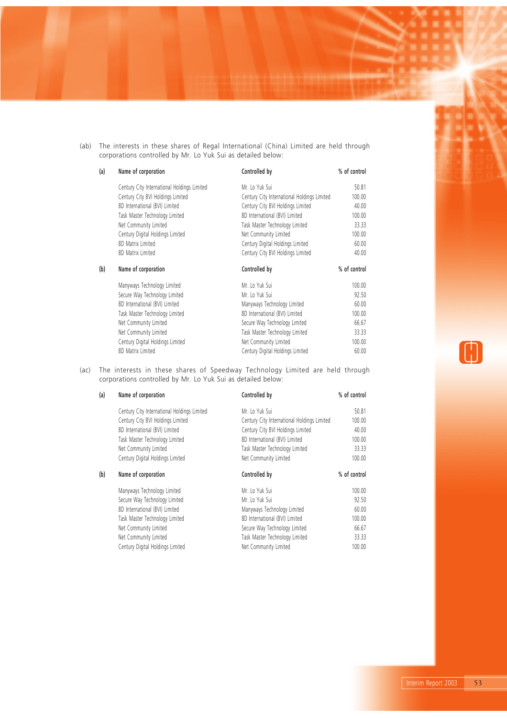(ab) The interests in these shares of Regal International (China) Limited are held through corporations controlled by Mr. Lo Yuk Sui as detailed below:

| (a) | Name of corporation                         | Controlled by                               | % of control |
|-----|---------------------------------------------|---------------------------------------------|--------------|
|     | Century City International Holdings Limited | Mr. Lo Yuk Sui                              | 50.81        |
|     | Century City BVI Holdings Limited           | Century City International Holdings Limited | 100.00       |
|     | 8D International (BVI) Limited              | Century City BVI Holdings Limited           | 40.00        |
|     | Task Master Technology Limited              | 8D International (BVI) Limited              | 100.00       |
|     | Net Community Limited                       | Task Master Technology Limited              | 33.33        |
|     | Century Digital Holdings Limited            | Net Community Limited                       | 100.00       |
|     | 8D Matrix Limited                           | Century Digital Holdings Limited            | 60.00        |
|     | 8D Matrix Limited                           | Century City BVI Holdings Limited           | 40.00        |
| (b) | Name of corporation                         | Controlled by                               | % of control |
|     | Manyways Technology Limited                 | Mr. Lo Yuk Sui                              | 100.00       |
|     | Secure Way Technology Limited               | Mr. Lo Yuk Sui                              | 92.50        |
|     | 8D International (BVI) Limited              | Manyways Technology Limited                 | 60.00        |
|     | Task Master Technology Limited              | 8D International (BVI) Limited              | 100.00       |
|     | Net Community Limited                       | Secure Way Technology Limited               | 66.67        |
|     | Net Community Limited                       | Task Master Technology Limited              | 33.33        |
|     | Century Digital Holdings Limited            | Net Community Limited                       | 100.00       |
|     | 8D Matrix Limited                           | Century Digital Holdings Limited            | 60.00        |

(ac) The interests in these shares of Speedway Technology Limited are held through corporations controlled by Mr. Lo Yuk Sui as detailed below:

| (a) | Name of corporation                         | Controlled by                               | % of control |
|-----|---------------------------------------------|---------------------------------------------|--------------|
|     | Century City International Holdings Limited | Mr. Lo Yuk Sui                              | 50.81        |
|     | Century City BVI Holdings Limited           | Century City International Holdings Limited | 100.00       |
|     | 8D International (BVI) Limited              | Century City BVI Holdings Limited           | 40.00        |
|     | Task Master Technology Limited              | 8D International (BVI) Limited              | 100.00       |
|     | Net Community Limited                       | Task Master Technology Limited              | 33.33        |
|     | Century Digital Holdings Limited            | Net Community Limited                       | 100.00       |
| (b) | Name of corporation                         | Controlled by                               | % of control |
|     | Manyways Technology Limited                 | Mr. Lo Yuk Sui                              | 100.00       |
|     | Secure Way Technology Limited               | Mr. Lo Yuk Sui                              | 92.50        |
|     | 8D International (BVI) Limited              | Manyways Technology Limited                 | 60.00        |
|     | Task Master Technology Limited              | 8D International (BVI) Limited              | 100.00       |
|     | Net Community Limited                       | Secure Way Technology Limited               | 66.67        |
|     | Net Community Limited                       | Task Master Technology Limited              | 33.33        |
|     | Century Digital Holdings Limited            | Net Community Limited                       | 100.00       |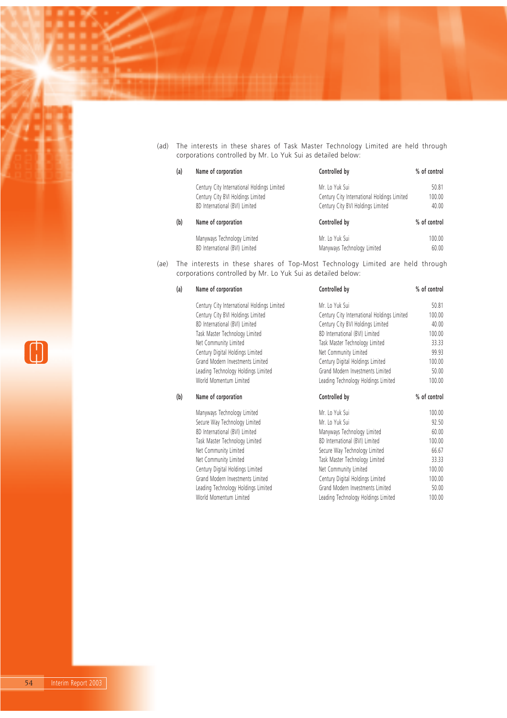(ad) The interests in these shares of Task Master Technology Limited are held through corporations controlled by Mr. Lo Yuk Sui as detailed below:

| (a) | Name of corporation                         | Controlled by                               | % of control |
|-----|---------------------------------------------|---------------------------------------------|--------------|
|     | Century City International Holdings Limited | Mr. Lo Yuk Sui                              | 50.81        |
|     | Century City BVI Holdings Limited           | Century City International Holdings Limited | 100.00       |
|     | 8D International (BVI) Limited              | Century City BVI Holdings Limited           | 40.00        |
| (b) | Name of corporation                         | Controlled by                               | % of control |
|     | Manyways Technology Limited                 | Mr. Lo Yuk Sui                              | 100.00       |
|     | 8D International (BVI) Limited              | Manyways Technology Limited                 | 60.00        |

(ae) The interests in these shares of Top-Most Technology Limited are held through corporations controlled by Mr. Lo Yuk Sui as detailed below:

| (a) | Name of corporation                         | Controlled by                               | % of control |
|-----|---------------------------------------------|---------------------------------------------|--------------|
|     | Century City International Holdings Limited | Mr. Lo Yuk Sui                              | 50.81        |
|     | Century City BVI Holdings Limited           | Century City International Holdings Limited | 100.00       |
|     | 8D International (BVI) Limited              | Century City BVI Holdings Limited           | 40.00        |
|     | Task Master Technology Limited              | 8D International (BVI) Limited              | 100.00       |
|     | Net Community Limited                       | Task Master Technology Limited              | 33.33        |
|     | Century Digital Holdings Limited            | Net Community Limited                       | 99.93        |
|     | Grand Modern Investments Limited            | Century Digital Holdings Limited            | 100.00       |
|     | Leading Technology Holdings Limited         | Grand Modern Investments Limited            | 50.00        |
|     | World Momentum Limited                      | Leading Technology Holdings Limited         | 100.00       |
| (b) | Name of corporation                         | Controlled by                               | % of control |
|     | Manyways Technology Limited                 | Mr. Lo Yuk Sui                              | 100.00       |
|     | Secure Way Technology Limited               | Mr. Lo Yuk Sui                              | 92.50        |
|     | 8D International (BVI) Limited              | Manyways Technology Limited                 | 60.00        |
|     | Task Master Technology Limited              | 8D International (BVI) Limited              | 100.00       |
|     | Net Community Limited                       | Secure Way Technology Limited               | 66.67        |
|     | Net Community Limited                       | Task Master Technology Limited              | 33.33        |
|     | Century Digital Holdings Limited            | Net Community Limited                       | 100.00       |
|     | Grand Modern Investments Limited            | Century Digital Holdings Limited            | 100.00       |
|     | Leading Technology Holdings Limited         | Grand Modern Investments Limited            | 50.00        |
|     | World Momentum Limited                      | Leading Technology Holdings Limited         | 100.00       |

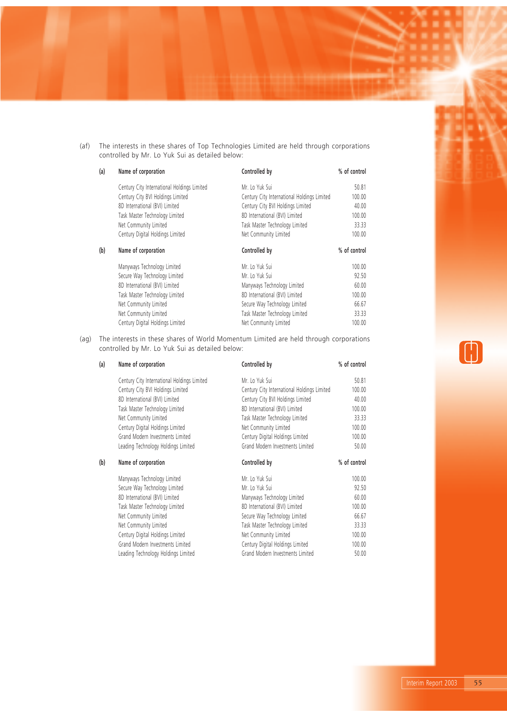(af) The interests in these shares of Top Technologies Limited are held through corporations controlled by Mr. Lo Yuk Sui as detailed below:

| (a) | Name of corporation                         | Controlled by                               | % of control |
|-----|---------------------------------------------|---------------------------------------------|--------------|
|     | Century City International Holdings Limited | Mr. Lo Yuk Sui                              | 50.81        |
|     | Century City BVI Holdings Limited           | Century City International Holdings Limited | 100.00       |
|     | 8D International (BVI) Limited              | Century City BVI Holdings Limited           | 40.00        |
|     | Task Master Technology Limited              | 8D International (BVI) Limited              | 100.00       |
|     | Net Community Limited                       | Task Master Technology Limited              | 33.33        |
|     | Century Digital Holdings Limited            | Net Community Limited                       | 100.00       |
| (b) | Name of corporation                         | Controlled by                               | % of control |
|     | Manyways Technology Limited                 | Mr. Lo Yuk Sui                              | 100.00       |
|     | Secure Way Technology Limited               | Mr. Lo Yuk Sui                              | 92.50        |
|     | 8D International (BVI) Limited              | Manyways Technology Limited                 | 60.00        |
|     | Task Master Technology Limited              | 8D International (BVI) Limited              | 100.00       |
|     | Net Community Limited                       | Secure Way Technology Limited               | 66.67        |
|     | Net Community Limited                       | Task Master Technology Limited              | 33.33        |
|     | Century Digital Holdings Limited            | Net Community Limited                       | 100.00       |

(ag) The interests in these shares of World Momentum Limited are held through corporations controlled by Mr. Lo Yuk Sui as detailed below:

| Name of corporation                         | Controlled by                               | % of control |  |
|---------------------------------------------|---------------------------------------------|--------------|--|
| Century City International Holdings Limited | Mr. Lo Yuk Sui                              | 50.81        |  |
| Century City BVI Holdings Limited           | Century City International Holdings Limited | 100.00       |  |
| 8D International (BVI) Limited              | Century City BVI Holdings Limited           | 40.00        |  |
| Task Master Technology Limited              | 8D International (BVI) Limited              | 100.00       |  |
| Net Community Limited                       | Task Master Technology Limited              | 33.33        |  |
| Century Digital Holdings Limited            | Net Community Limited                       | 100.00       |  |
| Grand Modern Investments Limited            | Century Digital Holdings Limited            | 100.00       |  |
| Leading Technology Holdings Limited         | Grand Modern Investments Limited            | 50.00        |  |
| Name of corporation                         | Controlled by                               | % of control |  |
| Manyways Technology Limited                 | Mr. Lo Yuk Sui                              | 100.00       |  |
| Secure Way Technology Limited               | Mr. Lo Yuk Sui                              | 92.50        |  |
| 8D International (BVI) Limited              | Manyways Technology Limited                 | 60.00        |  |
| Task Master Technology Limited              | 8D International (BVI) Limited              | 100.00       |  |
| Net Community Limited                       | Secure Way Technology Limited               | 66.67        |  |
| Net Community Limited                       | Task Master Technology Limited              | 33.33        |  |
| Century Digital Holdings Limited            | Net Community Limited                       | 100.00       |  |
| Grand Modern Investments Limited            | Century Digital Holdings Limited            | 100.00       |  |
| Leading Technology Holdings Limited         | Grand Modern Investments Limited            | 50.00        |  |
|                                             |                                             |              |  |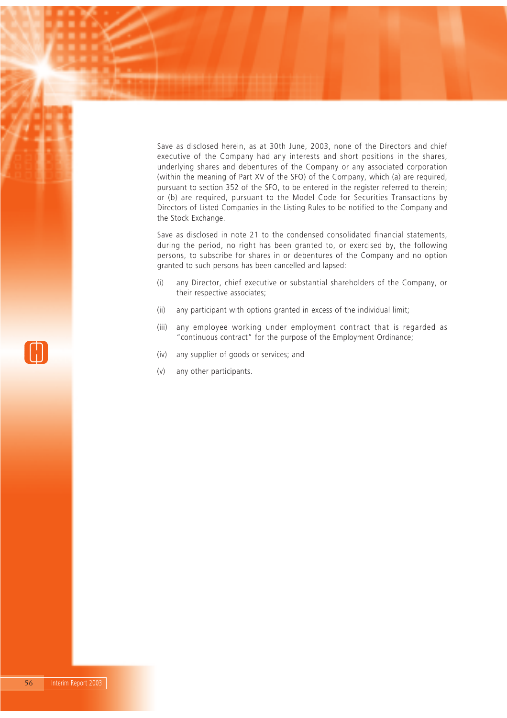Save as disclosed herein, as at 30th June, 2003, none of the Directors and chief executive of the Company had any interests and short positions in the shares, underlying shares and debentures of the Company or any associated corporation (within the meaning of Part XV of the SFO) of the Company, which (a) are required, pursuant to section 352 of the SFO, to be entered in the register referred to therein; or (b) are required, pursuant to the Model Code for Securities Transactions by Directors of Listed Companies in the Listing Rules to be notified to the Company and the Stock Exchange.

Save as disclosed in note 21 to the condensed consolidated financial statements, during the period, no right has been granted to, or exercised by, the following persons, to subscribe for shares in or debentures of the Company and no option granted to such persons has been cancelled and lapsed:

- (i) any Director, chief executive or substantial shareholders of the Company, or their respective associates;
- (ii) any participant with options granted in excess of the individual limit;
- (iii) any employee working under employment contract that is regarded as "continuous contract" for the purpose of the Employment Ordinance;
- (iv) any supplier of goods or services; and
- (v) any other participants.

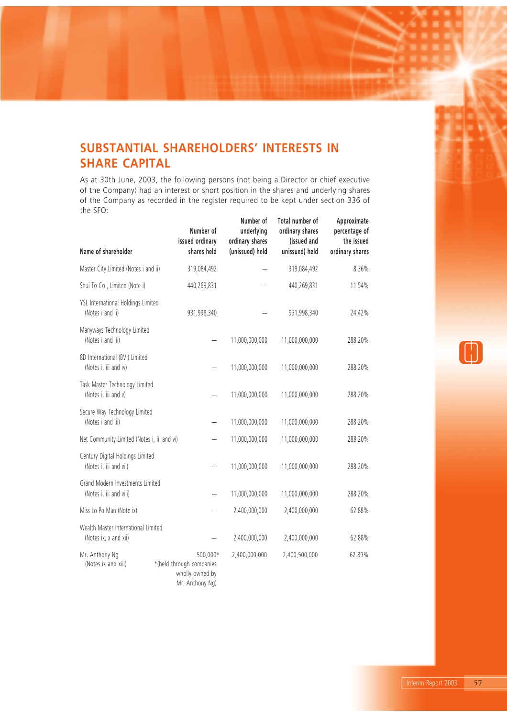# **SUBSTANTIAL SHAREHOLDERS' INTERESTS IN SHARE CAPITAL**

As at 30th June, 2003, the following persons (not being a Director or chief executive of the Company) had an interest or short position in the shares and underlying shares of the Company as recorded in the register required to be kept under section 336 of the SFO:  $\mathbb{R}^2$ 

| Name of shareholder                                          | Number of<br>issued ordinary<br>shares held                                | Number of<br>underlying<br>ordinary shares<br>(unissued) held | Total number of<br>ordinary shares<br>(issued and<br>unissued) held | Approximate<br>percentage of<br>the issued<br>ordinary shares |
|--------------------------------------------------------------|----------------------------------------------------------------------------|---------------------------------------------------------------|---------------------------------------------------------------------|---------------------------------------------------------------|
| Master City Limited (Notes i and ii)                         | 319,084,492                                                                |                                                               | 319,084,492                                                         | 8.36%                                                         |
| Shui To Co., Limited (Note i)                                | 440,269,831                                                                |                                                               | 440,269,831                                                         | 11.54%                                                        |
| YSL International Holdings Limited<br>(Notes i and ii)       | 931,998,340                                                                |                                                               | 931,998,340                                                         | 24.42%                                                        |
| Manyways Technology Limited<br>(Notes i and iii)             |                                                                            | 11,000,000,000                                                | 11,000,000,000                                                      | 288.20%                                                       |
| 8D International (BVI) Limited<br>(Notes i, iii and iv)      |                                                                            | 11,000,000,000                                                | 11,000,000,000                                                      | 288.20%                                                       |
| Task Master Technology Limited<br>(Notes i, iii and v)       |                                                                            | 11,000,000,000                                                | 11,000,000,000                                                      | 288.20%                                                       |
| Secure Way Technology Limited<br>(Notes i and iii)           |                                                                            | 11,000,000,000                                                | 11,000,000,000                                                      | 288.20%                                                       |
| Net Community Limited (Notes i, iii and vi)                  |                                                                            | 11,000,000,000                                                | 11,000,000,000                                                      | 288.20%                                                       |
| Century Digital Holdings Limited<br>(Notes i, iii and vii)   |                                                                            | 11,000,000,000                                                | 11,000,000,000                                                      | 288.20%                                                       |
| Grand Modern Investments Limited<br>(Notes i, iii and viii)  |                                                                            | 11,000,000,000                                                | 11,000,000,000                                                      | 288.20%                                                       |
| Miss Lo Po Man (Note ix)                                     |                                                                            | 2,400,000,000                                                 | 2,400,000,000                                                       | 62.88%                                                        |
| Wealth Master International Limited<br>(Notes ix, x and xii) |                                                                            | 2,400,000,000                                                 | 2,400,000,000                                                       | 62.88%                                                        |
| Mr. Anthony Ng<br>(Notes ix and xiii)                        | 500.000*<br>*(held through companies<br>wholly owned by<br>Mr. Anthony Ng) | 2,400,000,000                                                 | 2,400,500,000                                                       | 62.89%                                                        |

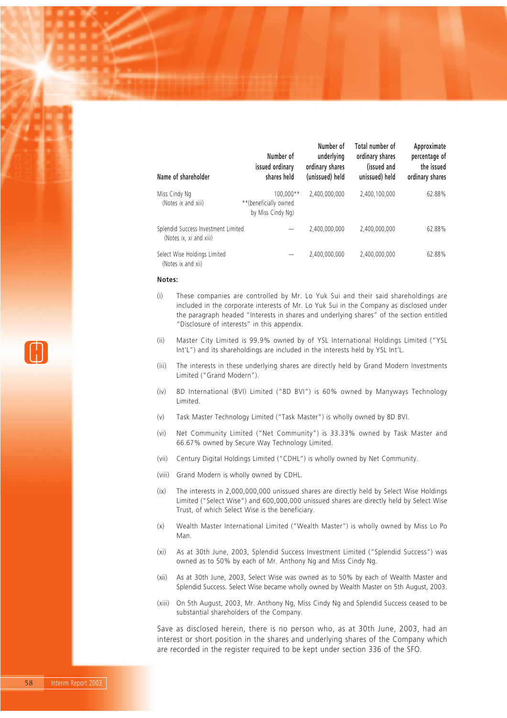| Name of shareholder                                            | Number of<br>issued ordinary<br>shares held             | Number of<br>underlying<br>ordinary shares<br>(unissued) held | Total number of<br>ordinary shares<br>(issued and<br>unissued) held | Approximate<br>percentage of<br>the issued<br>ordinary shares |
|----------------------------------------------------------------|---------------------------------------------------------|---------------------------------------------------------------|---------------------------------------------------------------------|---------------------------------------------------------------|
| Miss Cindy Ng<br>(Notes ix and xiii)                           | 100.000**<br>**(beneficially owned<br>by Miss Cindy Ng) | 2.400.000.000                                                 | 2.400.100.000                                                       | 62.88%                                                        |
| Splendid Success Investment Limited<br>(Notes ix, xi and xiii) |                                                         | 2.400.000.000                                                 | 2.400.000.000                                                       | 62.88%                                                        |
| Select Wise Holdings Limited<br>(Notes ix and xii)             |                                                         | 2.400.000.000                                                 | 2.400.000.000                                                       | 62.88%                                                        |

#### **Notes:**

- (i) These companies are controlled by Mr. Lo Yuk Sui and their said shareholdings are included in the corporate interests of Mr. Lo Yuk Sui in the Company as disclosed under the paragraph headed "Interests in shares and underlying shares" of the section entitled "Disclosure of interests" in this appendix.
- (ii) Master City Limited is 99.9% owned by of YSL International Holdings Limited ("YSL Int'L") and its shareholdings are included in the interests held by YSL Int'L.
- (iii) The interests in these underlying shares are directly held by Grand Modern Investments Limited ("Grand Modern").
- (iv) 8D International (BVI) Limited ("8D BVI") is 60% owned by Manyways Technology Limited.
- (v) Task Master Technology Limited ("Task Master") is wholly owned by 8D BVI.
- (vi) Net Community Limited ("Net Community") is 33.33% owned by Task Master and 66.67% owned by Secure Way Technology Limited.
- (vii) Century Digital Holdings Limited ("CDHL") is wholly owned by Net Community.
- (viii) Grand Modern is wholly owned by CDHL.
- (ix) The interests in 2,000,000,000 unissued shares are directly held by Select Wise Holdings Limited ("Select Wise") and 600,000,000 unissued shares are directly held by Select Wise Trust, of which Select Wise is the beneficiary.
- (x) Wealth Master International Limited ("Wealth Master") is wholly owned by Miss Lo Po Man.
- (xi) As at 30th June, 2003, Splendid Success Investment Limited ("Splendid Success") was owned as to 50% by each of Mr. Anthony Ng and Miss Cindy Ng.
- (xii) As at 30th June, 2003, Select Wise was owned as to 50% by each of Wealth Master and Splendid Success. Select Wise became wholly owned by Wealth Master on 5th August, 2003.
- (xiii) On 5th August, 2003, Mr. Anthony Ng, Miss Cindy Ng and Splendid Success ceased to be substantial shareholders of the Company.

Save as disclosed herein, there is no person who, as at 30th June, 2003, had an interest or short position in the shares and underlying shares of the Company which are recorded in the register required to be kept under section 336 of the SFO.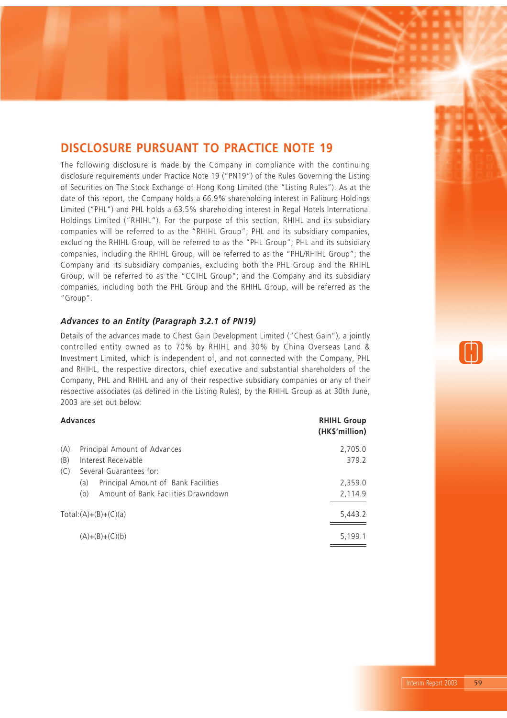# **DISCLOSURE PURSUANT TO PRACTICE NOTE 19**

The following disclosure is made by the Company in compliance with the continuing disclosure requirements under Practice Note 19 ("PN19") of the Rules Governing the Listing of Securities on The Stock Exchange of Hong Kong Limited (the "Listing Rules"). As at the date of this report, the Company holds a 66.9% shareholding interest in Paliburg Holdings Limited ("PHL") and PHL holds a 63.5% shareholding interest in Regal Hotels International Holdings Limited ("RHIHL"). For the purpose of this section, RHIHL and its subsidiary companies will be referred to as the "RHIHL Group"; PHL and its subsidiary companies, excluding the RHIHL Group, will be referred to as the "PHL Group"; PHL and its subsidiary companies, including the RHIHL Group, will be referred to as the "PHL/RHIHL Group"; the Company and its subsidiary companies, excluding both the PHL Group and the RHIHL Group, will be referred to as the "CCIHL Group"; and the Company and its subsidiary companies, including both the PHL Group and the RHIHL Group, will be referred as the "Group".

### *Advances to an Entity (Paragraph 3.2.1 of PN19)*

Details of the advances made to Chest Gain Development Limited ("Chest Gain"), a jointly controlled entity owned as to 70% by RHIHL and 30% by China Overseas Land & Investment Limited, which is independent of, and not connected with the Company, PHL and RHIHL, the respective directors, chief executive and substantial shareholders of the Company, PHL and RHIHL and any of their respective subsidiary companies or any of their respective associates (as defined in the Listing Rules), by the RHIHL Group as at 30th June, 2003 are set out below:

### **Advances RHIHL Group**

|     |                                            | (HK\$'million) |
|-----|--------------------------------------------|----------------|
| (A) | Principal Amount of Advances               | 2,705.0        |
| (B) | Interest Receivable                        | 379.2          |
| (C) | Several Guarantees for:                    |                |
|     | Principal Amount of Bank Facilities<br>(a) | 2,359.0        |
|     | Amount of Bank Facilities Drawndown<br>(b) | 2,114.9        |
|     | $Total:(A)+(B)+(C)(a)$                     | 5,443.2        |
|     | $(A)+(B)+(C)(b)$                           | 5,199.1        |

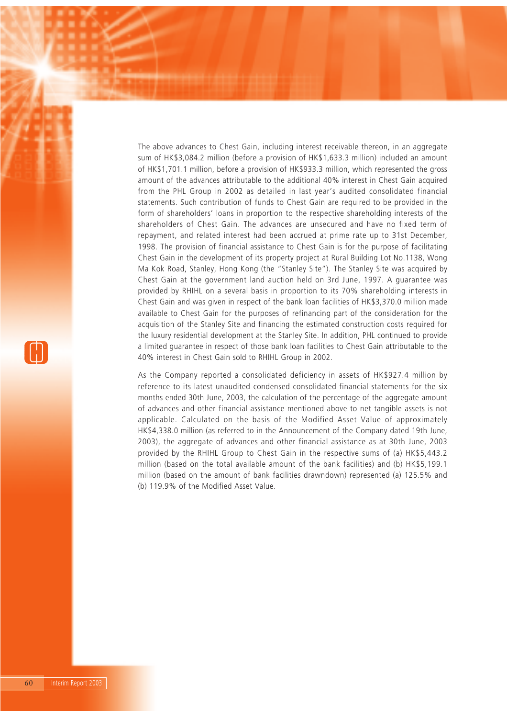The above advances to Chest Gain, including interest receivable thereon, in an aggregate sum of HK\$3,084.2 million (before a provision of HK\$1,633.3 million) included an amount of HK\$1,701.1 million, before a provision of HK\$933.3 million, which represented the gross amount of the advances attributable to the additional 40% interest in Chest Gain acquired from the PHL Group in 2002 as detailed in last year's audited consolidated financial statements. Such contribution of funds to Chest Gain are required to be provided in the form of shareholders' loans in proportion to the respective shareholding interests of the shareholders of Chest Gain. The advances are unsecured and have no fixed term of repayment, and related interest had been accrued at prime rate up to 31st December, 1998. The provision of financial assistance to Chest Gain is for the purpose of facilitating Chest Gain in the development of its property project at Rural Building Lot No.1138, Wong Ma Kok Road, Stanley, Hong Kong (the "Stanley Site"). The Stanley Site was acquired by Chest Gain at the government land auction held on 3rd June, 1997. A guarantee was provided by RHIHL on a several basis in proportion to its 70% shareholding interests in Chest Gain and was given in respect of the bank loan facilities of HK\$3,370.0 million made available to Chest Gain for the purposes of refinancing part of the consideration for the acquisition of the Stanley Site and financing the estimated construction costs required for the luxury residential development at the Stanley Site. In addition, PHL continued to provide a limited guarantee in respect of those bank loan facilities to Chest Gain attributable to the 40% interest in Chest Gain sold to RHIHL Group in 2002.

As the Company reported a consolidated deficiency in assets of HK\$927.4 million by reference to its latest unaudited condensed consolidated financial statements for the six months ended 30th June, 2003, the calculation of the percentage of the aggregate amount of advances and other financial assistance mentioned above to net tangible assets is not applicable. Calculated on the basis of the Modified Asset Value of approximately HK\$4,338.0 million (as referred to in the Announcement of the Company dated 19th June, 2003), the aggregate of advances and other financial assistance as at 30th June, 2003 provided by the RHIHL Group to Chest Gain in the respective sums of (a) HK\$5,443.2 million (based on the total available amount of the bank facilities) and (b) HK\$5,199.1 million (based on the amount of bank facilities drawndown) represented (a) 125.5% and (b) 119.9% of the Modified Asset Value.

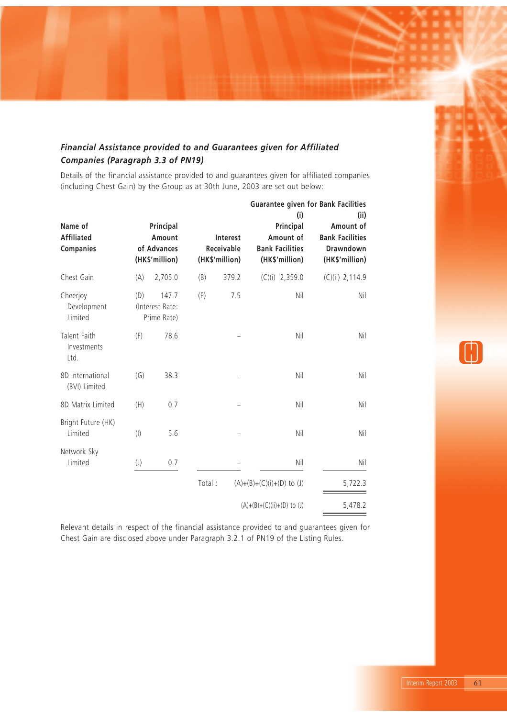# *Financial Assistance provided to and Guarantees given for Affiliated Companies (Paragraph 3.3 of PN19)*

Details of the financial assistance provided to and guarantees given for affiliated companies (including Chest Gain) by the Group as at 30th June, 2003 are set out below:

| Name of<br><b>Affiliated</b><br><b>Companies</b> |                           | Principal<br>Amount<br>of Advances<br>(HK\$'million) |        | Interest<br>Receivable<br>(HK\$'million) | <b>Guarantee given for Bank Facilities</b><br>(i)<br>Principal<br>Amount of<br><b>Bank Facilities</b><br>(HK\$'million) | (ii)<br>Amount of<br><b>Bank Facilities</b><br>Drawndown<br>(HK\$'million) |
|--------------------------------------------------|---------------------------|------------------------------------------------------|--------|------------------------------------------|-------------------------------------------------------------------------------------------------------------------------|----------------------------------------------------------------------------|
| Chest Gain                                       | (A)                       | 2,705.0                                              | (B)    | 379.2                                    | $(C)(i)$ 2,359.0                                                                                                        | $(C)(ii)$ 2,114.9                                                          |
| Cheerjoy<br>Development<br>Limited               | (D)                       | 147.7<br>(Interest Rate:<br>Prime Rate)              | (E)    | 7.5                                      | Nil                                                                                                                     | Nil                                                                        |
| Talent Faith<br>Investments<br>Ltd.              | (F)                       | 78.6                                                 |        |                                          | Nil                                                                                                                     | Nil                                                                        |
| 8D International<br>(BVI) Limited                | (G)                       | 38.3                                                 |        |                                          | Nil                                                                                                                     | Nil                                                                        |
| 8D Matrix Limited                                | (H)                       | 0.7                                                  |        |                                          | Nil                                                                                                                     | Nil                                                                        |
| Bright Future (HK)<br>Limited                    | $($ l $)$                 | 5.6                                                  |        |                                          | Nil                                                                                                                     | Nil                                                                        |
| Network Sky<br>Limited                           | $\left(\mathsf{J}\right)$ | 0.7                                                  |        |                                          | Nil                                                                                                                     | Nil                                                                        |
|                                                  |                           |                                                      | Total: |                                          | $(A)+(B)+(C)(i)+(D)$ to $(J)$                                                                                           | 5,722.3                                                                    |
|                                                  |                           |                                                      |        |                                          | $(A)+(B)+(C)(ii)+(D)$ to (J)                                                                                            | 5,478.2                                                                    |

Relevant details in respect of the financial assistance provided to and guarantees given for Chest Gain are disclosed above under Paragraph 3.2.1 of PN19 of the Listing Rules.

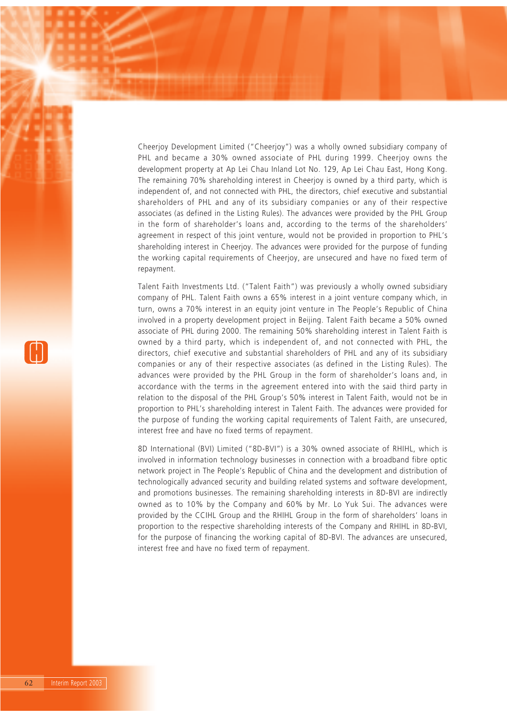Cheerjoy Development Limited ("Cheerjoy") was a wholly owned subsidiary company of PHL and became a 30% owned associate of PHL during 1999. Cheerjoy owns the development property at Ap Lei Chau Inland Lot No. 129, Ap Lei Chau East, Hong Kong. The remaining 70% shareholding interest in Cheerjoy is owned by a third party, which is independent of, and not connected with PHL, the directors, chief executive and substantial shareholders of PHL and any of its subsidiary companies or any of their respective associates (as defined in the Listing Rules). The advances were provided by the PHL Group in the form of shareholder's loans and, according to the terms of the shareholders' agreement in respect of this joint venture, would not be provided in proportion to PHL's shareholding interest in Cheerjoy. The advances were provided for the purpose of funding the working capital requirements of Cheerjoy, are unsecured and have no fixed term of repayment.

Talent Faith Investments Ltd. ("Talent Faith") was previously a wholly owned subsidiary company of PHL. Talent Faith owns a 65% interest in a joint venture company which, in turn, owns a 70% interest in an equity joint venture in The People's Republic of China involved in a property development project in Beijing. Talent Faith became a 50% owned associate of PHL during 2000. The remaining 50% shareholding interest in Talent Faith is owned by a third party, which is independent of, and not connected with PHL, the directors, chief executive and substantial shareholders of PHL and any of its subsidiary companies or any of their respective associates (as defined in the Listing Rules). The advances were provided by the PHL Group in the form of shareholder's loans and, in accordance with the terms in the agreement entered into with the said third party in relation to the disposal of the PHL Group's 50% interest in Talent Faith, would not be in proportion to PHL's shareholding interest in Talent Faith. The advances were provided for the purpose of funding the working capital requirements of Talent Faith, are unsecured, interest free and have no fixed terms of repayment.

8D International (BVI) Limited ("8D-BVI") is a 30% owned associate of RHIHL, which is involved in information technology businesses in connection with a broadband fibre optic network project in The People's Republic of China and the development and distribution of technologically advanced security and building related systems and software development, and promotions businesses. The remaining shareholding interests in 8D-BVI are indirectly owned as to 10% by the Company and 60% by Mr. Lo Yuk Sui. The advances were provided by the CCIHL Group and the RHIHL Group in the form of shareholders' loans in proportion to the respective shareholding interests of the Company and RHIHL in 8D-BVI, for the purpose of financing the working capital of 8D-BVI. The advances are unsecured, interest free and have no fixed term of repayment.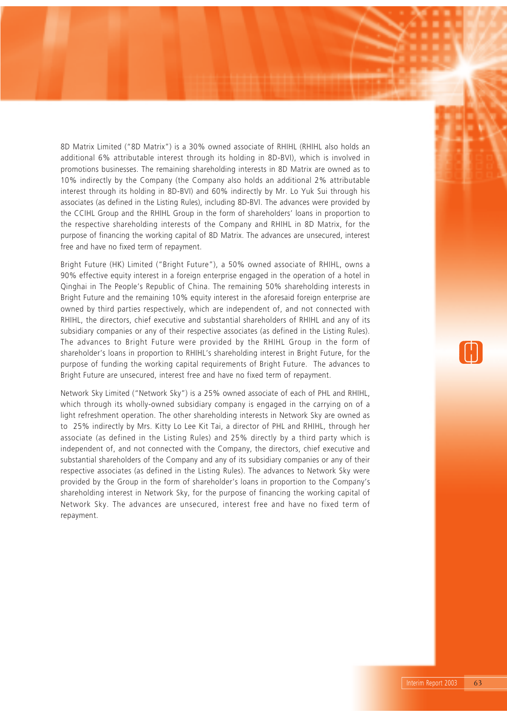8D Matrix Limited ("8D Matrix") is a 30% owned associate of RHIHL (RHIHL also holds an additional 6% attributable interest through its holding in 8D-BVI), which is involved in promotions businesses. The remaining shareholding interests in 8D Matrix are owned as to 10% indirectly by the Company (the Company also holds an additional 2% attributable interest through its holding in 8D-BVI) and 60% indirectly by Mr. Lo Yuk Sui through his associates (as defined in the Listing Rules), including 8D-BVI. The advances were provided by the CCIHL Group and the RHIHL Group in the form of shareholders' loans in proportion to the respective shareholding interests of the Company and RHIHL in 8D Matrix, for the purpose of financing the working capital of 8D Matrix. The advances are unsecured, interest free and have no fixed term of repayment.

Bright Future (HK) Limited ("Bright Future"), a 50% owned associate of RHIHL, owns a 90% effective equity interest in a foreign enterprise engaged in the operation of a hotel in Qinghai in The People's Republic of China. The remaining 50% shareholding interests in Bright Future and the remaining 10% equity interest in the aforesaid foreign enterprise are owned by third parties respectively, which are independent of, and not connected with RHIHL, the directors, chief executive and substantial shareholders of RHIHL and any of its subsidiary companies or any of their respective associates (as defined in the Listing Rules). The advances to Bright Future were provided by the RHIHL Group in the form of shareholder's loans in proportion to RHIHL's shareholding interest in Bright Future, for the purpose of funding the working capital requirements of Bright Future. The advances to Bright Future are unsecured, interest free and have no fixed term of repayment.

Network Sky Limited ("Network Sky") is a 25% owned associate of each of PHL and RHIHL, which through its wholly-owned subsidiary company is engaged in the carrying on of a light refreshment operation. The other shareholding interests in Network Sky are owned as to 25% indirectly by Mrs. Kitty Lo Lee Kit Tai, a director of PHL and RHIHL, through her associate (as defined in the Listing Rules) and 25% directly by a third party which is independent of, and not connected with the Company, the directors, chief executive and substantial shareholders of the Company and any of its subsidiary companies or any of their respective associates (as defined in the Listing Rules). The advances to Network Sky were provided by the Group in the form of shareholder's loans in proportion to the Company's shareholding interest in Network Sky, for the purpose of financing the working capital of Network Sky. The advances are unsecured, interest free and have no fixed term of repayment.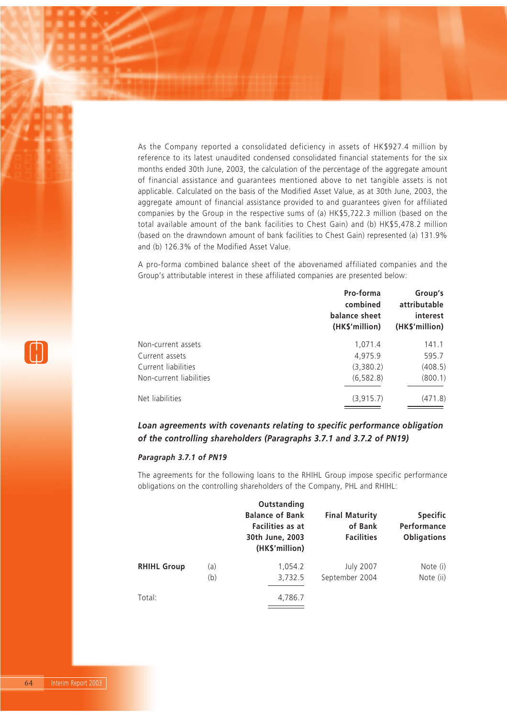As the Company reported a consolidated deficiency in assets of HK\$927.4 million by reference to its latest unaudited condensed consolidated financial statements for the six months ended 30th June, 2003, the calculation of the percentage of the aggregate amount of financial assistance and guarantees mentioned above to net tangible assets is not applicable. Calculated on the basis of the Modified Asset Value, as at 30th June, 2003, the aggregate amount of financial assistance provided to and guarantees given for affiliated companies by the Group in the respective sums of (a) HK\$5,722.3 million (based on the total available amount of the bank facilities to Chest Gain) and (b) HK\$5,478.2 million (based on the drawndown amount of bank facilities to Chest Gain) represented (a) 131.9% and (b) 126.3% of the Modified Asset Value.

A pro-forma combined balance sheet of the abovenamed affiliated companies and the Group's attributable interest in these affiliated companies are presented below:

| Pro-forma<br>combined<br>balance sheet<br>(HK\$'million) | Group's<br>attributable<br>interest<br>(HK\$'million) |
|----------------------------------------------------------|-------------------------------------------------------|
| 1,071.4                                                  | 141.1                                                 |
| 4,975.9                                                  | 595.7                                                 |
| (3,380.2)                                                | (408.5)                                               |
| (6, 582.8)                                               | (800.1)                                               |
| (3, 915.7)                                               | (471.8)                                               |
|                                                          |                                                       |

# *Loan agreements with covenants relating to specific performance obligation of the controlling shareholders (Paragraphs 3.7.1 and 3.7.2 of PN19)*

### *Paragraph 3.7.1 of PN19*

The agreements for the following loans to the RHIHL Group impose specific performance obligations on the controlling shareholders of the Company, PHL and RHIHL:

|                    |            | Outstanding<br><b>Balance of Bank</b><br><b>Facilities as at</b><br>30th June, 2003<br>(HK\$'million) | <b>Final Maturity</b><br>of Bank<br><b>Facilities</b> | <b>Specific</b><br>Performance<br><b>Obligations</b> |
|--------------------|------------|-------------------------------------------------------------------------------------------------------|-------------------------------------------------------|------------------------------------------------------|
| <b>RHIHL Group</b> | (a)<br>(b) | 1,054.2<br>3,732.5                                                                                    | <b>July 2007</b><br>September 2004                    | Note (i)<br>Note (ii)                                |
| Total:             |            | 4,786.7                                                                                               |                                                       |                                                      |

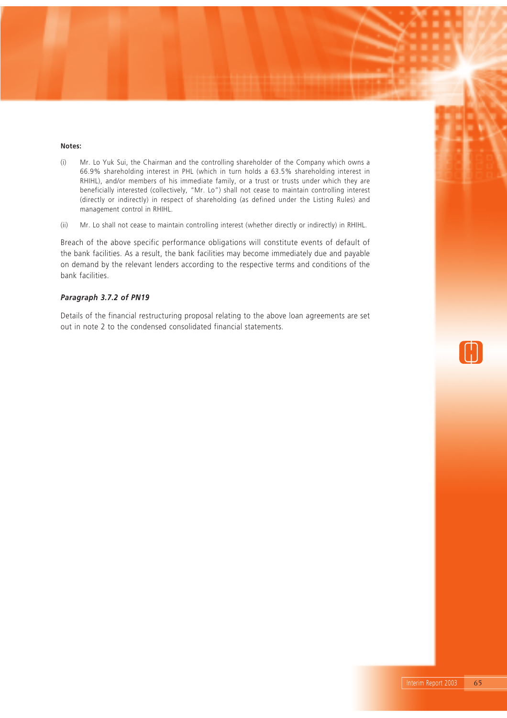#### **Notes:**

- (i) Mr. Lo Yuk Sui, the Chairman and the controlling shareholder of the Company which owns a 66.9% shareholding interest in PHL (which in turn holds a 63.5% shareholding interest in RHIHL), and/or members of his immediate family, or a trust or trusts under which they are beneficially interested (collectively, "Mr. Lo") shall not cease to maintain controlling interest (directly or indirectly) in respect of shareholding (as defined under the Listing Rules) and management control in RHIHL.
- (ii) Mr. Lo shall not cease to maintain controlling interest (whether directly or indirectly) in RHIHL.

Breach of the above specific performance obligations will constitute events of default of the bank facilities. As a result, the bank facilities may become immediately due and payable on demand by the relevant lenders according to the respective terms and conditions of the bank facilities.

### *Paragraph 3.7.2 of PN19*

Details of the financial restructuring proposal relating to the above loan agreements are set out in note 2 to the condensed consolidated financial statements.